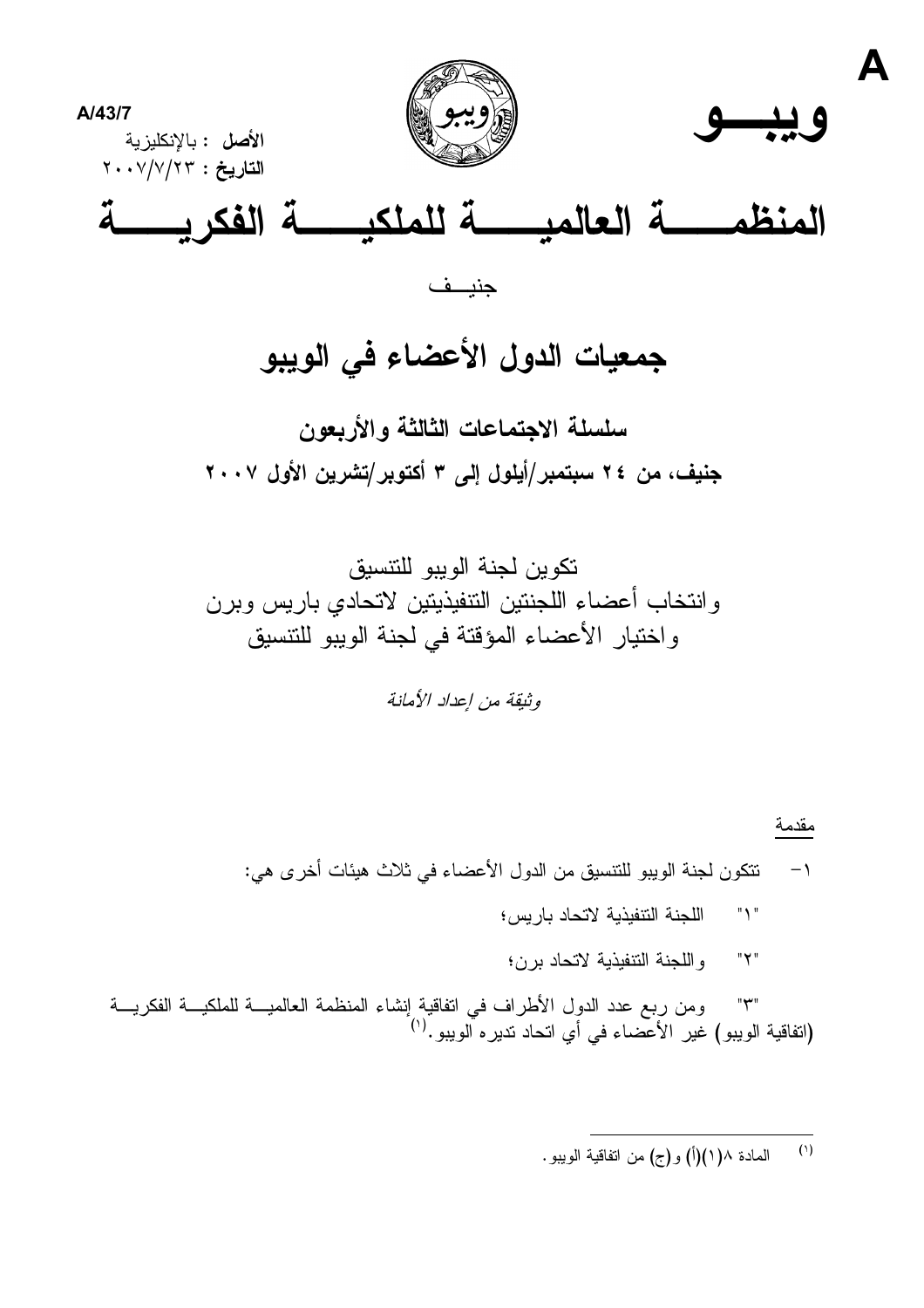

# جمعيات الدول الأعضاء في الويبو

سلسلة الاجتماعات الثالثة والأربعون جنيف، من ٢٤ سبتمبر/أيلول إلى ٣ أكتوبر/تشرين الأول ٢٠٠٧

تكوين لجنة الوبيو للتنسبق وانتخاب أعضاء اللجنتين التنفيذيتين لاتحادي باريس وبرن واختيار الأعضاء المؤقتة في لجنة الويبو للتتسيق

وثيقة من إعداد الأمانة

#### مقدمة

- نتكون لجنة الويبو للتنسيق من الدول الأعضاء في ثلاث هيئات أخرى هي:  $-1$ 
	- $"Y"$ اللجنة التنفيذية لاتحاد باريس؛
	- واللجنة النتفيذية لاتحاد برن؛ "۲"

ومن ربع عدد الدول الأطراف في انفاقية إنشاء المنظمة العالميــة للملكيـــة الفكريـــة  $"\star"$ (انفاقية الويبو) غير الأعضاء في أي انحاد نديره آلويبو .<sup>(י)</sup>

> $(1)$ الممادة ١/ (١)(أ) و(ج) من اتفاقية الويبو .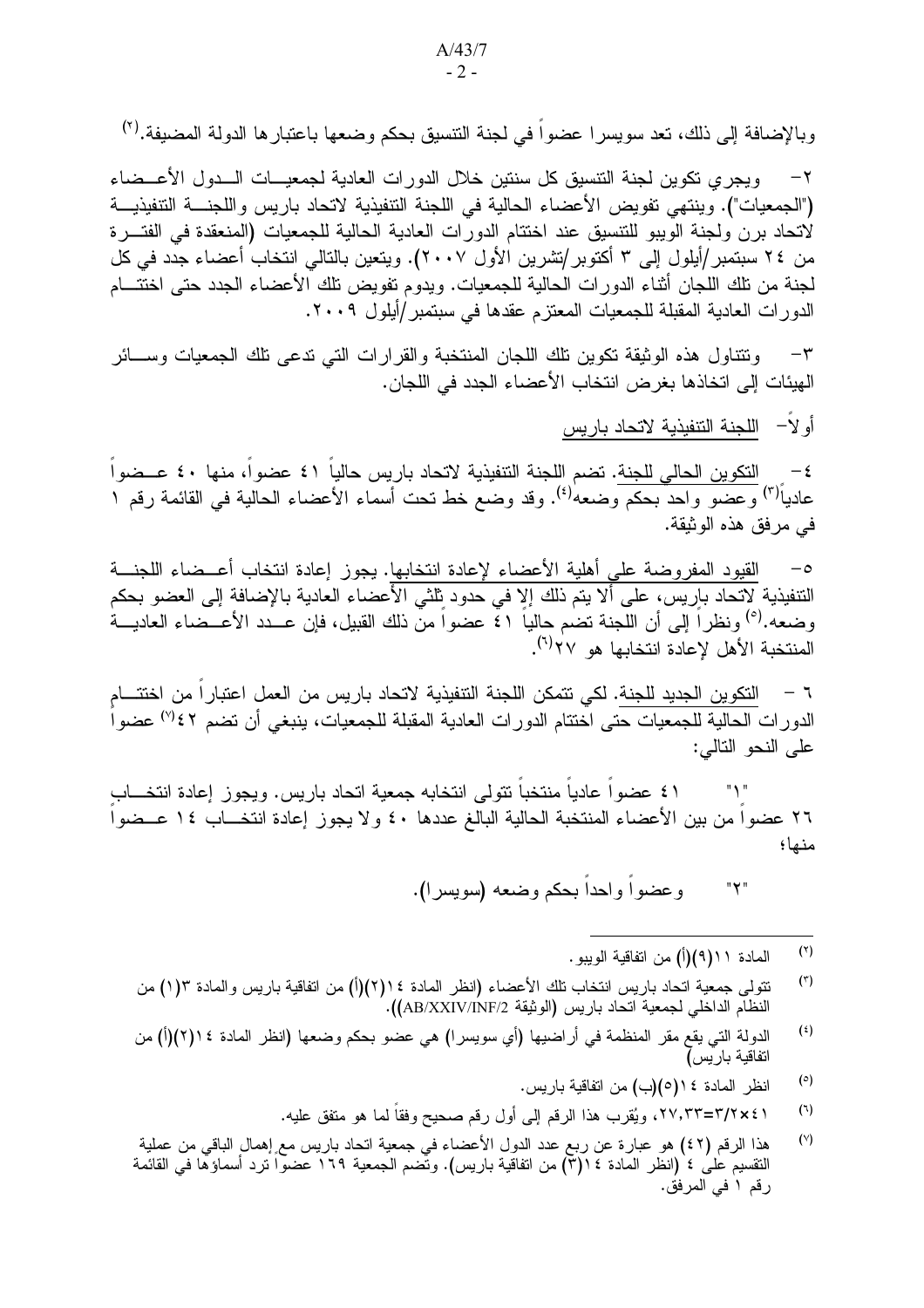وبالإضافة إلى ذلك، تعد سويسرا عضواً في لجنة التنسيق بحكم وضعها باعتبارها الدولة المضيفة.<sup>(٢)</sup>

وبجر ي تكوين لجنة التنسبق كل سنتين خلال الدور ات العادية لجمعيـــات الـــدول الأعـــضاء  $-\tau$ ("الجمعيات"). وينتهي تفويض الأعضاء الحالية في اللجنة التنفيذية لاتحاد باريس واللجنــــة التنفيذيـــة لاتحاد برن ولجنة الويبو للتتسيق عند اختتام الدورات العادية الحالية للجمعيات (المنعقدة في الفتـــرة من ٢٤ سبتمبر /أيلول إلى ٣ أكتوبر /تشرين الأول ٢٠٠٧). ويتعين بالتالي انتخاب أعضاء جدد في كل لجنة من تلك اللجان أثناء الدورات الحالية للجمعيات. ويدوم تفويض نلك الأعضاء الجدد حتى اختتـــام الدور ات العادية المقبلة للجمعيات المعتزم عقدها في سبتمبر /أيلول ٢٠٠٩.

ونتناول هذه الوثيقة نكوين نلك اللجان المنتخبة والقرارات التي ندعى نلك الجمعيات وســائر  $-{\bf r}$ الهيئات إلى اتخاذها بغر ض انتخاب الأعضاء الجدد في اللجان.

أو لاً – اللجنة النتفيذية لاتحاد باريس

التكوين الحالي للجنة. تضم اللجنة التنفيذية لاتحاد باريس حالياً ٤١ عضواً، منها ٤٠ عــضواً  $-\xi$ عادياً<sup>(٣)</sup> وعضو واحدٌ بحكم وضعه<sup>ٰ(٤)</sup>. وقد وضع خط نحت أسماء الأعضاء الحالية في القائمة رقم ١ في مرفق هذه الوثيقة.

القيود المفروضة على أهلية الأعضاء لإعادة انتخابها. يجوز إعادة انتخاب أعــضاء اللجنـــة  $-\circ$ التنفيذية لاتحاد باريس، على ألا يتم ذلك إلا في حدود ثلثي الأعضاء العادية بالإضافة إلى العضو بحكم وضعه.<sup>(٥)</sup> ونظراً إلى أن اللجنة تضم حالياً ٤١ عضواً من ذلك القبيل، فإن عـــدد الأعـــضاء العاديـــة المنتخبة الأهل لاعادة انتخابها هو ٢٧<sup>(٦)</sup>.

٦ – التكوين الجديد للجنة. لكي تتمكن اللجنة التنفيذية لاتحاد باريس من العمل اعتباراً من اختتـــام الدور ات الحالية للجمعيات حتى اختتام الدور ات العادية المقبلة للجمعيات، ينبغي أن تضم ٤٢% عضو ا على النحو النالي:

١ ٤ عضواً عادياً منتخباً تتولى انتخابه جمعية اتحاد باريس. ويجوز إعادة انتخـــابٍ  $"$  \  $"$ ٢٦ عضوا من بين الأعضاء المنتخبة الحالية البالغ عددها ٤٠ ولا يجوز إعادة انتخـــاب ١٤ عـــضوا منها؛

> وعضواً وإحداً بحكم وضعه (سويسر ا). "۲"

> > $(\mathbf{v})$ المادة ١ ( ٩)(أ) من اتفاقية الويبو.

- $(\tau)$ تتولَّى جمعية اتحاد باريس انتخاب نلك الأعضاء (انظر المادة ١٤(٢)(أ) من اتفاقية باريس والمادة ١(١) من النظام الداخلي لجمعية اتحاد باريس (الوثيقة AB/XXIV/INF/2)).
- $($ i) الدولة التي يقع مقر المنظمة في أراضيها (أي سويسر ا) هي عضو بحكم وضعها (انظر المادة ١٤(٢)(أ) من اتفاقية بار يس]
	- $(°)$ انظر المادة ١٤(٥)(ب) من اتفاقية باريس.
	- $(7)$ ا ٢×٢/٢=٢٢،٢٣، ويُقرِّب هذا الرقم إلى أول رقم صحيح وفقًا لما هو متفق عليه.
- $(Y)$ هذا الرقم (٤٢) هو عبارة عن ربع عدد الدول الأعضاء في جمعية اتحاد باريس مع إهمال الباقي من عملية النقسيم على ٤ (انظر المادة ١٤(٣) من اتفاقية باريس). وتُضم الجمعية ١٦٩ عضواً ترد أسماؤها في القائمة رقم ١ في المرفق.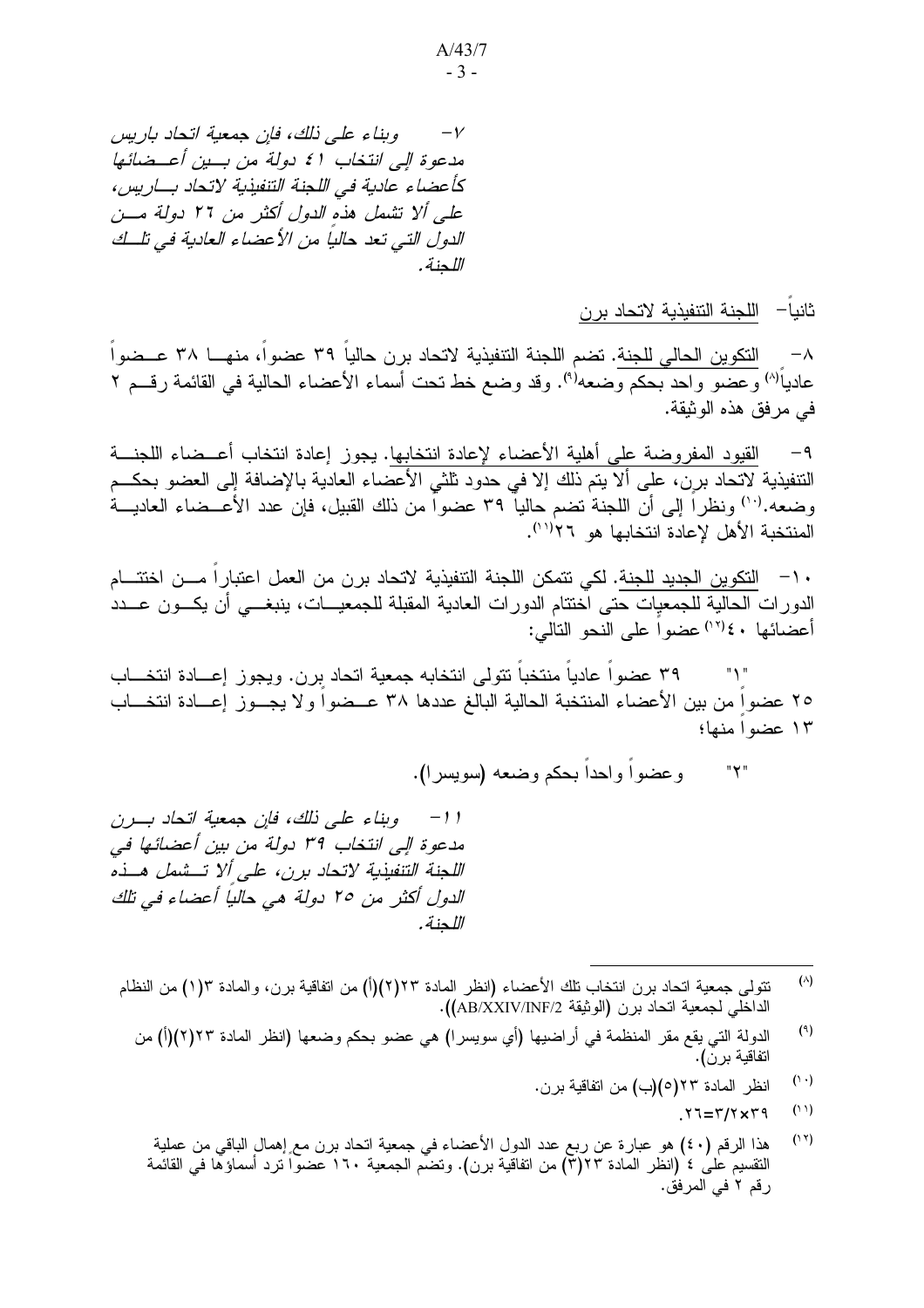وبناء على ذلك، فإن جمعية اتحاد باريس  $-\gamma$ مدعوة إلى انتخاب ٤١ دولة من بسين أعسضائها كأعضاء عادية في اللجنة التنفيذية لاتحاد بساريس، على ألا تشمل هذه الدول أكثر من ٢٦ دولة مسن الدول التي تعد حالبا من الأعضاء العادبة في تلبك اللحنة.

ثانيا— اللجنة التنفيذية لاتحاد برن

النكوين الحالي للجنة. تضم اللجنة التنفيذية لاتحاد برن حالياً ٣٩ عضواً، منهـــا ٣٨ عـــضواً  $-\lambda$ عادياً<sup>(٨)</sup> وعضو وإحد بحكم وضعه<sup>(٩)</sup>. وقد وضع خط تحت أسماء الأعضاء الحالية في القائمة رقسم ٢ في مرفق هذه الوثيقة.

القيود المفروضة على أهلية الأعضاء لإعادة انتخابها. يجوز إعادة انتخاب أعــضاء اللجنـــة  $-9$ التنفيذية لاتحاد برن، على ألا يتم ذلك إلا في حدود ثلثي الأعضاء العادية بالإضافة إلى العضو بحكــم وضعه.''') ونظرًا إلى أن اللجنة نضم حاليا ٣٩ عضوًا من ذلك القبيل، فإن عدد الأعـــضاء العاديـــة المنتخبة الأهل لإعادة انتخابها هو ٢٦(١٦).

· ١- التكوين الجديد للجنة. لكي تتمكن اللجنة التنفيذية لاتحاد برن من العمل اعتبارا مـــن اختتـــام الدورات الحالية للجمعيات حتى اختتام الدورات العادية المقبلة للجمعيـــات، ينبغــــي أن يكـــون عـــدد أعضائها ٤٠/ (١٢) عضواً على النحو التالي:

٣٩ عضوا عاديا منتخبا نتولى انتخابه جمعية اتحاد بِرن. ويجوز إعــادة انتخـــاب  $"Y"$ ٢٥ عضواً من بين الأعضاء المنتخبة الحالية البالغ عددها ٣٨ عــضواً ولا يجــوز إعـــادة انتخـــاب ١٣ عضوا منها؛

> وعضواً وإحداً بحكم وضعه (سويسر ا).  $"Y"$

11- وبناء على ذلك، فإن جمعية اتحاد بـرن مدعوة إلى انتخاب ٣٩ دولة من بين أعضائها في اللجنة التنفيذية لاتحاد برن، على ألا تـــشمل هـــذه الدول أكثر من ٢٥ دولة هي حالياً أعضاء في تلك اللحنة.

- $(\wedge)$ نتولَّى جمعية انحاد برن انتخاب تلك الأعضاء (انظر المادة ٢٢(٢)(أ) من اتفاقية برن، والمادة ١(١) من النظام الداخلي لجمعية اتحاد برن (الوثيقة AB/XXIV/INF/2).
	- $(9)$ الدولة التي يقع مقر المنظمة في أراضيها (أي سويسرا) هي عضو بحكم وضعها (انظر المادة ٢٣(٢)(أ) من اتفاقية برنّ).
		- $(1 \cdot)$ انظر المادة ٢٣(٥)(ب) من اتفاقية برن.
			- $(11)$  $Y = Y/X + Y$
		- هذا الرقم (٤٠) هو عبارة عن ربع عدد الدول الأعضاء في جمعية اتحاد برن مع إهمالٍ الباقي من عملية  $(11)$ النقسيم على ٤ (انظر المادة ٢٣(٣) من اتفاقية برن). وتضم الجمعية ١٦٠ عضواً ترد أسماؤها في القائمة رقم ٢ في المرفق.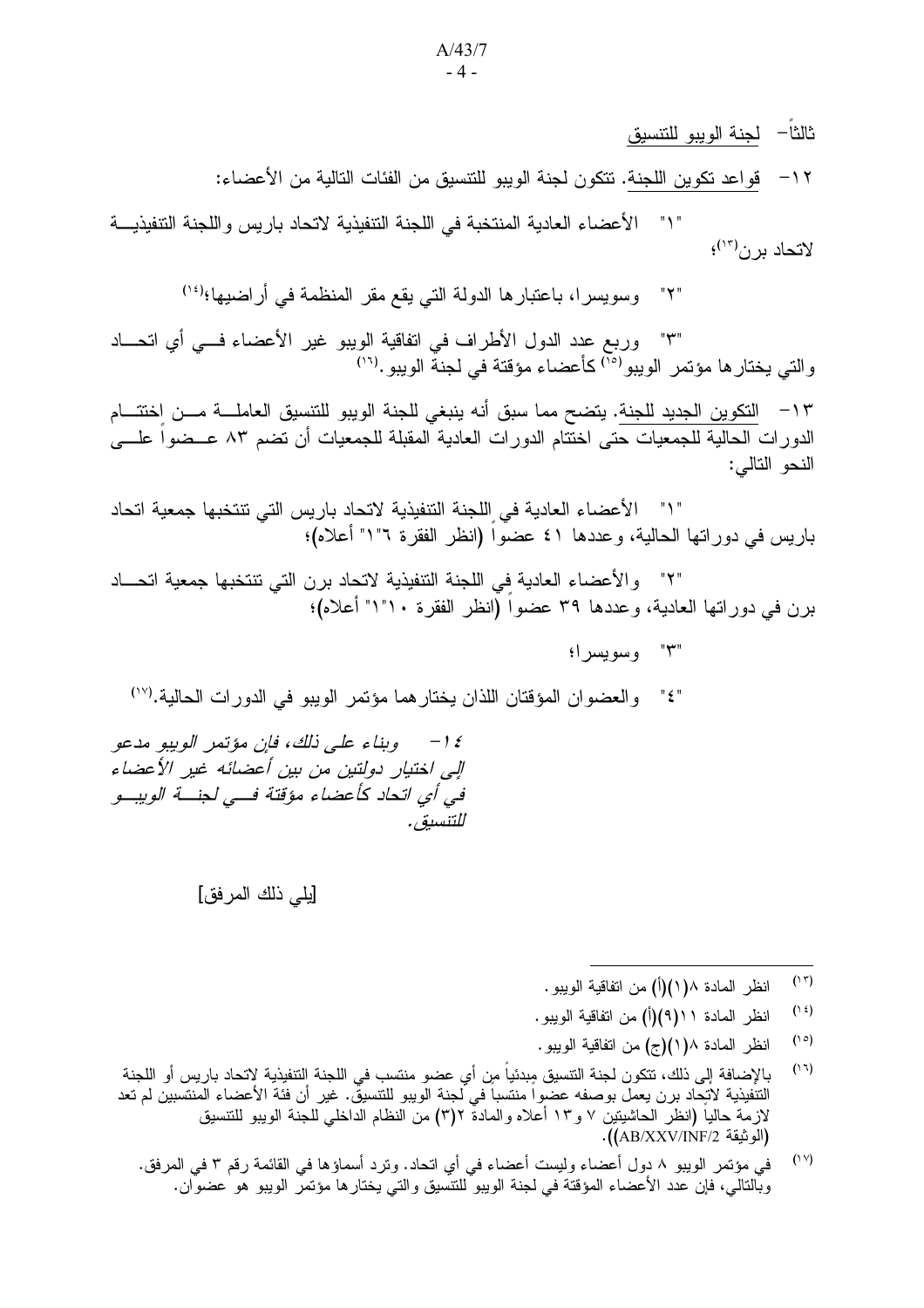ثالثاً– لجنة الويبو للتتسيق

١٢ – فواعد نكوين اللجنة. تتكون لجنة الويبو للتنسيق من الفئات التالية من الأعضاء:

" ١" الأعضاء العادية المنتخبة في اللجنة التنفيذية لاتحاد باريس واللجنة التنفيذيـــة لاتحاد برن<sup>(١٣)</sup>؛

> وسويسرا، باعتبارها الدولة التي يقع مقر المنظمة في أراضيها؛(أ') " ۲ "

"٣" وربع عدد الدول الأطراف في اتفاقية الويبو غير الأعضاء فـــي أي اتحـــاد والتي يختارها مؤتمر الويبو<sup>(٢٥</sup>) كأعضاء مؤقتة في لجنة الويبو.<sup>(١٦)</sup>

١٣ – التكوين الجديد للجنة. يتضح مما سبق أنه ينبغي للجنة الويبو للتنسيق العاملــــة مـــن اختتــــام الدورات الحالية للجمعيات حتى اختتام الدورات العادية المقبلة للجمعيات أن نضم ٨٣ عــضواً علـــي النحو التالي:

" ١" الأعضاء العادية في اللجنة التنفيذية لاتحاد باريس التي تتتخبها جمعية اتحاد باريس في دوراتها الحالية، وعددها ٤١ عضواً (انظر الفقرة ١"١" أعلاه)؛

والأعضاء العادية في اللجنة التنفيذية لاتحاد برن التي تنتخبها جمعية اتحـــاد برن في دوراتها العادية، وعددها ٣٩ عضواً (انظر الفقرة ١٠"١" أعلاه)؛

"٣" وسويسر!؛

والعضوان المؤقتان اللذان يختارهما مؤتمر الويبو في الدورات الحالية.<sup>(١٧</sup>)  $\mathbb{F}_2$   $\mathbb{F}_3$ 

وبناء على ذلك، فإن مؤتمر الويبو مدعو  $-1 \xi$ إلى اختيار دولتين من بين أعضائه غير الأعضاء في أي اتحاد كأعضاء مؤقتة فسي لجنسة الويبسو للتنسبق .

[يلي ذلك المر فق]

- $(15)$ انظر المادة ١(١)(أ) من اتفاقية الويبو .
- $(1)$ انظر المادة ١١(٩)(أ) من اتفاقية الوبيو .
- $(1°)$ انظر المادة ١/ ١)(ج) من اتفاقية الويبو.
- $(11)$ بالإضافة إلى ذلك، تتكون لجنة التتسيق مِبدئياً من أي عضو منتسب في اللجنة التتفيذية لاتحاد باريس أو اللجنة التنفيذية لاتحاد برن يعمل بوصفه عضواً منتسباً في لجنة الويبو للتتسيق. غير أن فئة الأعضاء المنتسبين لم تعد لازمَّةَ حالياً (انظر الحاشيتين ٧ و١٣ أعلاه والمادة ٣)٢) من النظام الداخلي للجنة الويبو للتنسيق (الو ثيقة AB/XXV/INF/2)).
	- $(1Y)$ في مؤتمر الويبو ٨ دول أعضاء وليست أعضاء في أي اتحاد. وترد أسماؤها في القائمة رقم ٣ في المرفق. وبْالنالـي، فإن عدد الأعضـاء المؤقَّنة فـي لـجنة الويبو للنتسيق والتـي يـختار ها مؤتمر الويبو هو عضوَّان.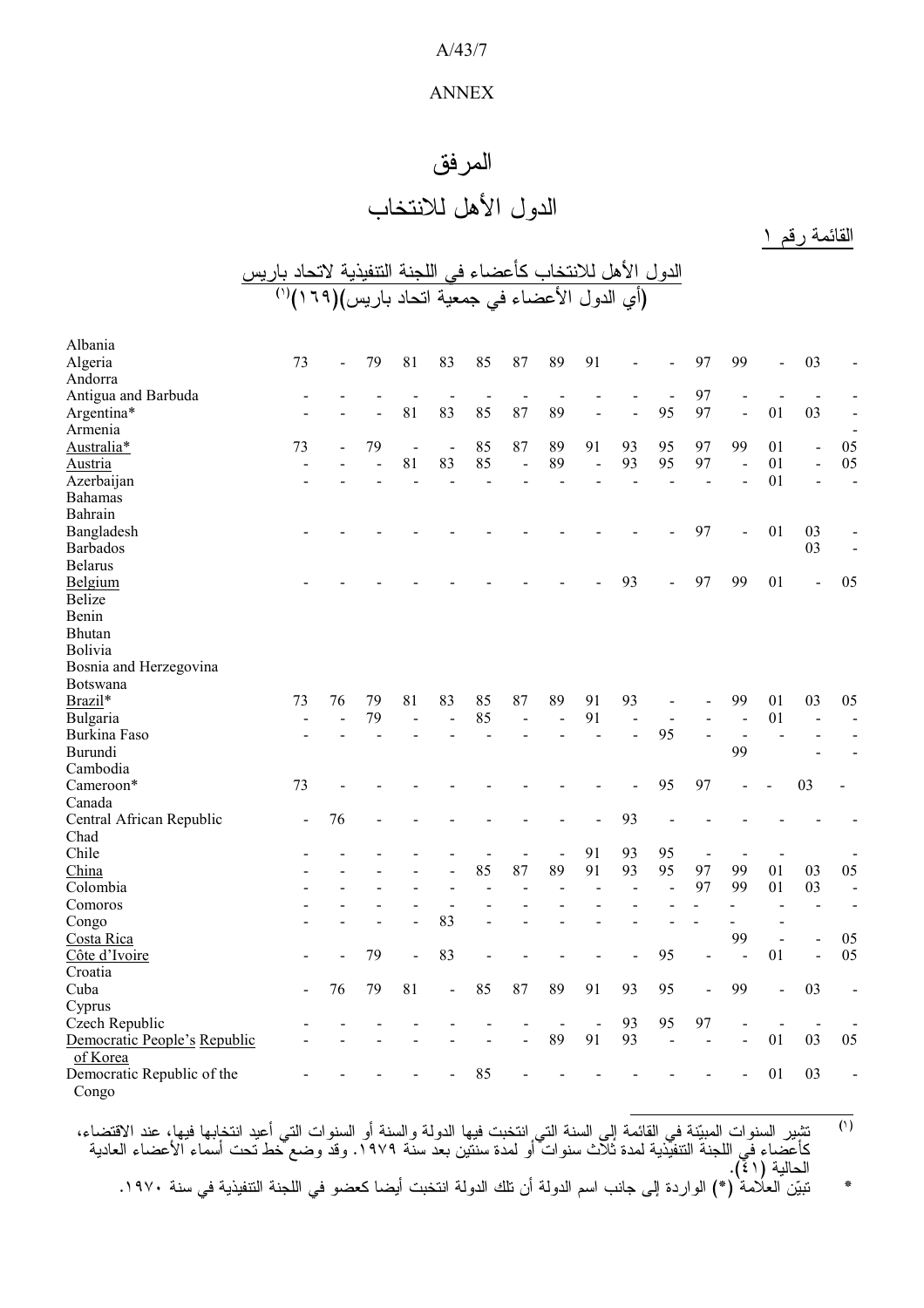#### A/43/7

#### ANNEX

# المرفق

# الدول الأهل للانتخاب

القائمة رقم ١

| الدول الأهل للانتخاب كأعضاء في اللجنة التنفيذية لاتحاد باريس |  |  |
|--------------------------------------------------------------|--|--|
| (أي الدول الأعضاء في جمعية اتحاد باريس)(٦٦٩)(''              |  |  |

| Albania                      |                |    |                |                |                              |                |    |                          |                |                |                |                                |    |                |                              |                          |
|------------------------------|----------------|----|----------------|----------------|------------------------------|----------------|----|--------------------------|----------------|----------------|----------------|--------------------------------|----|----------------|------------------------------|--------------------------|
| Algeria                      | 73             | ÷, | 79             | 81             | 83                           | 85             | 87 | 89                       | 91             |                |                | 97                             | 99 |                | 03                           |                          |
| Andorra                      |                |    |                |                |                              |                |    |                          |                |                |                |                                |    |                |                              |                          |
| Antigua and Barbuda          | $\overline{a}$ |    |                |                | $\frac{1}{2}$                | $\overline{a}$ |    | $\overline{\phantom{a}}$ |                |                | $\overline{a}$ | 97                             |    |                | $\overline{\phantom{a}}$     |                          |
| Argentina*                   |                |    |                | 81             | 83                           | 85             | 87 | 89                       |                |                | 95             | 97                             |    | 01             | 03                           |                          |
| Armenia                      |                |    |                |                |                              |                |    |                          |                |                |                |                                |    |                |                              | $\blacksquare$           |
| Australia*                   | 73             |    | 79             | $\overline{a}$ | $\overline{a}$               | 85             | 87 | 89                       | 91             | 93             | 95             | 97                             | 99 | 01             | $\overline{\phantom{a}}$     | 05                       |
| Austria                      |                |    |                | 81             | 83                           | 85             | ÷, | 89                       | $\overline{a}$ | 93             | 95             | 97                             |    | 01             | $\qquad \qquad \blacksquare$ | 05                       |
| Azerbaijan                   |                |    |                | $\overline{a}$ | L.                           | $\overline{a}$ |    |                          |                | $\overline{a}$ | $\overline{a}$ | $\overline{a}$                 |    | 01             | $\overline{a}$               | $\mathbf{r}$             |
| <b>Bahamas</b>               |                |    |                |                |                              |                |    |                          |                |                |                |                                |    |                |                              |                          |
| Bahrain                      |                |    |                |                |                              |                |    |                          |                |                |                |                                |    |                |                              |                          |
| Bangladesh                   |                |    |                |                |                              |                |    |                          |                |                |                | 97                             |    | 01             | 03                           |                          |
| <b>Barbados</b>              |                |    |                |                |                              |                |    |                          |                |                |                |                                |    |                | 03                           | $\overline{a}$           |
| <b>Belarus</b>               |                |    |                |                |                              |                |    |                          |                |                |                |                                |    |                |                              |                          |
| Belgium                      |                |    |                |                |                              |                |    |                          |                | 93             |                | 97                             | 99 | 01             | $\overline{a}$               | 05                       |
| <b>Belize</b>                |                |    |                |                |                              |                |    |                          |                |                |                |                                |    |                |                              |                          |
| Benin                        |                |    |                |                |                              |                |    |                          |                |                |                |                                |    |                |                              |                          |
| <b>Bhutan</b>                |                |    |                |                |                              |                |    |                          |                |                |                |                                |    |                |                              |                          |
| Bolivia                      |                |    |                |                |                              |                |    |                          |                |                |                |                                |    |                |                              |                          |
| Bosnia and Herzegovina       |                |    |                |                |                              |                |    |                          |                |                |                |                                |    |                |                              |                          |
| Botswana                     |                |    |                |                |                              |                |    |                          |                |                |                |                                |    |                |                              |                          |
| Brazil*                      | 73             | 76 | 79             | 81             | 83                           | 85             | 87 | 89                       | 91             | 93             |                |                                | 99 | 01             | 03                           | 05                       |
| Bulgaria                     |                |    | 79             | $\overline{a}$ | $\overline{a}$               | 85             |    | $\overline{a}$           | 91             | $\overline{a}$ | $\overline{a}$ |                                |    | 01             |                              | $\overline{\phantom{a}}$ |
| <b>Burkina Faso</b>          |                |    | $\overline{a}$ |                |                              |                |    |                          | L,             | $\overline{a}$ | 95             | $\blacksquare$                 | ÷. |                |                              | $\blacksquare$           |
| Burundi                      |                |    |                |                |                              |                |    |                          |                |                |                |                                | 99 |                |                              |                          |
| Cambodia                     |                |    |                |                |                              |                |    |                          |                |                |                |                                |    |                |                              |                          |
| Cameroon*                    | 73             |    |                |                |                              |                |    |                          |                |                | 95             | 97                             |    |                | 03                           |                          |
| Canada                       |                |    |                |                |                              |                |    |                          |                |                |                |                                |    |                |                              |                          |
| Central African Republic     | $\blacksquare$ | 76 |                |                |                              |                |    |                          |                | 93             |                |                                |    |                |                              |                          |
| Chad                         |                |    |                |                |                              |                |    |                          |                |                |                |                                |    |                |                              |                          |
| Chile                        |                |    |                |                |                              |                |    | $\overline{\phantom{a}}$ | 91             | 93             | 95             |                                |    |                |                              |                          |
| China                        |                |    |                |                |                              | 85             | 87 | 89                       | 91             | 93             | 95             | $\overline{\phantom{a}}$<br>97 | 99 | 01             | 03                           | 05                       |
| Colombia                     |                |    |                |                |                              |                |    |                          |                |                | $\overline{a}$ | 97                             | 99 |                |                              |                          |
|                              |                |    |                |                |                              |                |    |                          |                | $\blacksquare$ |                |                                |    | 01             | 03                           | $\blacksquare$           |
| Comoros                      |                |    |                | $\overline{a}$ |                              |                |    |                          |                |                |                |                                |    |                | $\sim$                       | $\blacksquare$           |
| Congo                        |                |    |                | $\overline{a}$ | 83                           |                |    |                          |                |                |                |                                |    |                |                              |                          |
| Costa Rica                   |                |    |                |                |                              |                |    |                          |                |                |                |                                | 99 | $\overline{a}$ | $\frac{1}{2}$                | 05<br>05                 |
| Côte d'Ivoire                |                |    | 79             | $\overline{a}$ | 83                           |                |    |                          |                |                | 95             |                                |    | 01             | $\overline{a}$               |                          |
| Croatia                      |                |    |                |                |                              |                |    |                          |                |                |                |                                |    |                |                              |                          |
| Cuba                         |                | 76 | 79             | 81             | $\qquad \qquad \blacksquare$ | 85             | 87 | 89                       | 91             | 93             | 95             | $\qquad \qquad \blacksquare$   | 99 |                | 03                           |                          |
| Cyprus                       |                |    |                |                |                              |                |    |                          |                |                |                |                                |    |                |                              |                          |
| Czech Republic               |                |    |                |                |                              |                |    | $\blacksquare$           | $\blacksquare$ | 93             | 95             | 97                             |    |                | $\blacksquare$               |                          |
| Democratic People's Republic |                |    |                |                |                              |                |    | 89                       | 91             | 93             |                |                                |    | 01             | 03                           | 05                       |
| of Korea                     |                |    |                |                |                              |                |    |                          |                |                |                |                                |    |                |                              |                          |
| Democratic Republic of the   |                |    |                |                |                              | 85             |    |                          |                |                |                |                                |    | 01             | 03                           |                          |
| Congo                        |                |    |                |                |                              |                |    |                          |                |                |                |                                |    |                |                              |                          |

- $\overline{(\cdot)}$ <sup>(י)</sup> تشيير السنوات المبيّنة في القائمة إلى السنة التي انتخبت فيها الدولة والسنة أو السنوات التي أعيد انتخابها فيها، عند الاقتضاء، كأعُضاء فَي اللجنةُ التنفيُّذية لمدة ثَلاَّث سنوات ۖ أو لمدة سنتُين بعد سنَّة ١٩٧٩. وقدَّ وضع خط نحت أسماء الأعضاء العادية الحالية (٤١).

\* تبيّن العلّامة` (\*) الواردة إلى جانب اسم الدولة أن تلك الدولة انتخبت أيضا كعضو في اللجنة التنفيذية في سنة ١٩٧٠.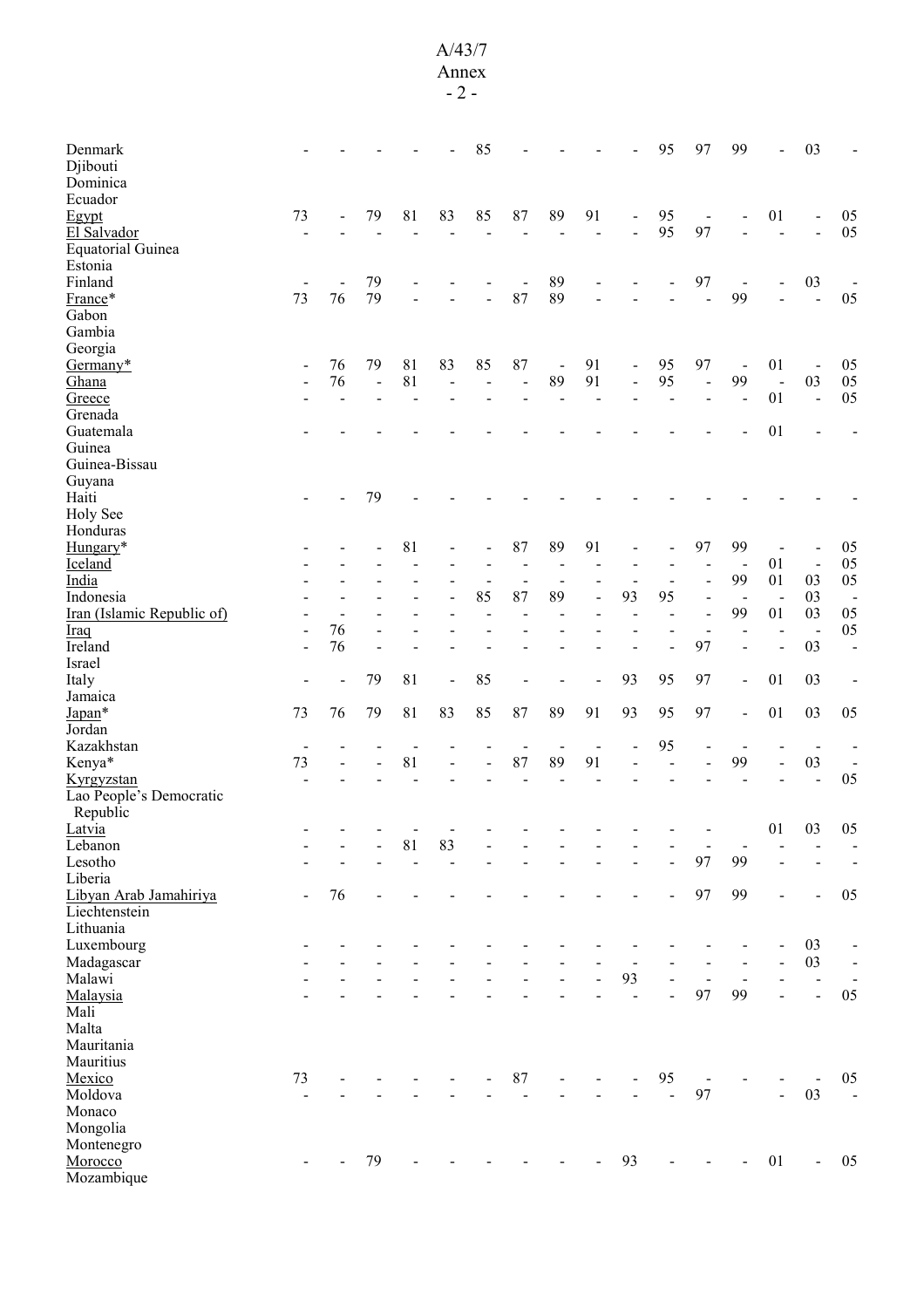### A/43/7

| Denmark<br>Djibouti        |                          |    |                     |                |                | 85             |                          |                          |                |                              | 95             | 97                           | 99                       | $\overline{a}$           | 03                           |                              |
|----------------------------|--------------------------|----|---------------------|----------------|----------------|----------------|--------------------------|--------------------------|----------------|------------------------------|----------------|------------------------------|--------------------------|--------------------------|------------------------------|------------------------------|
| Dominica                   |                          |    |                     |                |                |                |                          |                          |                |                              |                |                              |                          |                          |                              |                              |
| Ecuador                    |                          |    |                     |                |                |                |                          |                          |                |                              |                |                              |                          |                          |                              |                              |
| Egypt                      | 73                       |    | 79                  | 81             | 83             | 85             | 87                       | 89                       | 91             | $\overline{\phantom{a}}$     | 95             | $\qquad \qquad \blacksquare$ |                          | 01                       | $\qquad \qquad \blacksquare$ | 05                           |
| El Salvador                |                          |    |                     |                |                |                |                          |                          |                |                              | 95             | 97                           |                          | $\overline{a}$           |                              | 05                           |
| <b>Equatorial Guinea</b>   |                          |    |                     |                |                |                |                          |                          |                |                              |                |                              |                          |                          |                              |                              |
| Estonia                    |                          |    |                     |                |                |                |                          |                          |                |                              |                |                              |                          |                          |                              |                              |
| Finland                    |                          |    | 79                  |                |                |                |                          | 89                       |                |                              |                | 97                           | $\overline{\phantom{a}}$ |                          | 03                           |                              |
| France*                    | 73                       | 76 | 79                  |                |                |                | 87                       | 89                       |                |                              |                |                              | 99                       |                          |                              | 05                           |
| Gabon                      |                          |    |                     |                |                |                |                          |                          |                |                              |                |                              |                          |                          |                              |                              |
| Gambia                     |                          |    |                     |                |                |                |                          |                          |                |                              |                |                              |                          |                          |                              |                              |
| Georgia                    |                          |    |                     |                |                |                |                          |                          |                |                              |                |                              |                          |                          |                              |                              |
| Germany*                   | $\overline{a}$           | 76 | 79                  | 81             | 83             | 85             | 87                       | $\blacksquare$           | 91             | $\qquad \qquad \blacksquare$ | 95             | 97                           | $\overline{\phantom{a}}$ | 01                       | $\blacksquare$               | 05                           |
| Ghana                      |                          | 76 | $\bar{\phantom{a}}$ | 81             |                |                | $\overline{a}$           | 89                       | 91             | $\overline{\phantom{a}}$     | 95             | $\overline{\phantom{a}}$     | 99                       | $\ddot{\phantom{1}}$     | 03                           | $05\,$                       |
| Greece                     |                          |    |                     |                |                |                |                          | $\overline{\phantom{a}}$ | L,             |                              |                |                              | $\blacksquare$           | 01                       | $\ddot{\phantom{a}}$         | 05                           |
| Grenada                    |                          |    |                     |                |                |                |                          |                          |                |                              |                |                              |                          |                          |                              |                              |
| Guatemala                  |                          |    |                     |                |                |                |                          |                          |                |                              |                |                              |                          | 01                       |                              |                              |
| Guinea                     |                          |    |                     |                |                |                |                          |                          |                |                              |                |                              |                          |                          |                              |                              |
| Guinea-Bissau              |                          |    |                     |                |                |                |                          |                          |                |                              |                |                              |                          |                          |                              |                              |
| Guyana                     |                          |    |                     |                |                |                |                          |                          |                |                              |                |                              |                          |                          |                              |                              |
| Haiti                      |                          |    | 79                  |                |                |                |                          |                          |                |                              |                |                              |                          |                          |                              |                              |
| Holy See                   |                          |    |                     |                |                |                |                          |                          |                |                              |                |                              |                          |                          |                              |                              |
| Honduras                   |                          |    |                     |                |                |                |                          |                          |                |                              |                |                              |                          |                          |                              |                              |
| Hungary*                   |                          |    |                     | 81             |                |                | 87                       | 89                       | 91             |                              |                | 97                           | 99                       |                          |                              | 05                           |
| Iceland                    |                          |    |                     |                |                |                | $\overline{\phantom{a}}$ | $\overline{a}$           |                |                              |                |                              |                          | 01                       | $\blacksquare$               | 05                           |
| India                      |                          |    |                     |                |                |                | $\overline{\phantom{a}}$ | $\overline{\phantom{0}}$ |                | $\overline{a}$               |                |                              | 99                       | 01                       | 03                           | 05                           |
| Indonesia                  |                          |    |                     |                |                | 85             | 87                       | 89                       |                | 93                           | 95             | $\blacksquare$               | $\blacksquare$           | $\overline{\phantom{a}}$ | 03                           | $\overline{\phantom{a}}$     |
| Iran (Islamic Republic of) |                          |    |                     |                |                |                |                          |                          |                |                              |                | $\blacksquare$               | 99                       | 01                       | 03                           | 05                           |
| <b>Iraq</b>                | $\overline{\phantom{0}}$ | 76 |                     |                |                |                |                          |                          |                |                              |                | $\overline{\phantom{0}}$     |                          | $\overline{\phantom{0}}$ | $\blacksquare$               | 05                           |
| Ireland                    |                          | 76 |                     |                |                |                |                          |                          |                |                              |                | 97                           |                          | $\overline{a}$           | 03                           | $\overline{a}$               |
| Israel                     |                          |    |                     |                |                |                |                          |                          |                |                              |                | 97                           |                          |                          |                              |                              |
| Italy<br>Jamaica           |                          |    | 79                  | 81             | $\overline{a}$ | 85             |                          |                          |                | 93                           | 95             |                              | $\overline{a}$           | 01                       | 03                           |                              |
| Japan*                     | 73                       | 76 | 79                  | 81             | 83             | 85             | 87                       | 89                       | 91             | 93                           | 95             | 97                           | $\blacksquare$           | 01                       | 03                           | 05                           |
| Jordan                     |                          |    |                     |                |                |                |                          |                          |                |                              |                |                              |                          |                          |                              |                              |
| Kazakhstan                 | $\overline{\phantom{a}}$ |    |                     |                |                |                | $\overline{\phantom{0}}$ | $\overline{\phantom{a}}$ | $\blacksquare$ |                              | 95             | $\blacksquare$               | $\blacksquare$           |                          | $\overline{\phantom{a}}$     |                              |
| Kenya*                     | 73                       |    |                     | 81             |                | $\blacksquare$ | 87                       | 89                       | 91             |                              | $\sim$         |                              | 99                       | $\overline{a}$           | 03                           |                              |
| Kyrgyzstan                 |                          |    |                     |                |                |                |                          |                          |                |                              |                |                              |                          |                          | $\overline{a}$               | 05                           |
| Lao People's Democratic    |                          |    |                     |                |                |                |                          |                          |                |                              |                |                              |                          |                          |                              |                              |
| Republic                   |                          |    |                     |                |                |                |                          |                          |                |                              |                |                              |                          |                          |                              |                              |
| Latvia                     |                          |    |                     |                |                |                |                          |                          |                |                              |                |                              |                          | 01                       | 03                           | 05                           |
| Lebanon                    |                          |    |                     | 81             | 83             |                |                          |                          |                |                              |                | $\blacksquare$               |                          |                          |                              |                              |
| Lesotho                    |                          |    |                     | $\overline{a}$ | $\overline{a}$ |                |                          |                          |                |                              | $\overline{a}$ | 97                           | 99                       |                          |                              |                              |
| Liberia                    |                          |    |                     |                |                |                |                          |                          |                |                              |                |                              |                          |                          |                              |                              |
| Libyan Arab Jamahiriya     | $\overline{\phantom{a}}$ | 76 | L                   |                |                |                |                          |                          |                |                              |                | 97                           | 99                       | $\blacksquare$           | $\overline{\phantom{0}}$     | 05                           |
| Liechtenstein              |                          |    |                     |                |                |                |                          |                          |                |                              |                |                              |                          |                          |                              |                              |
| Lithuania                  |                          |    |                     |                |                |                |                          |                          |                |                              |                |                              |                          |                          |                              |                              |
| Luxembourg                 |                          |    |                     |                |                |                |                          |                          |                |                              |                |                              |                          |                          | 03                           | $\qquad \qquad \blacksquare$ |
| Madagascar                 |                          |    |                     |                |                |                |                          |                          |                | $\overline{a}$               |                |                              |                          | $\overline{a}$           | 03                           | $\blacksquare$               |
| Malawi                     |                          |    |                     |                |                |                |                          |                          |                | 93                           | $\frac{1}{2}$  | $\blacksquare$               | $\blacksquare$           | $\overline{\phantom{a}}$ | $\qquad \qquad \blacksquare$ |                              |
| Malaysia                   |                          |    |                     |                |                |                |                          |                          |                | $\overline{a}$               | $\overline{a}$ | 97                           | 99                       | $\overline{a}$           | $\overline{a}$               | 05                           |
| Mali                       |                          |    |                     |                |                |                |                          |                          |                |                              |                |                              |                          |                          |                              |                              |
| Malta                      |                          |    |                     |                |                |                |                          |                          |                |                              |                |                              |                          |                          |                              |                              |
| Mauritania                 |                          |    |                     |                |                |                |                          |                          |                |                              |                |                              |                          |                          |                              |                              |
| Mauritius                  |                          |    |                     |                |                |                |                          |                          |                |                              |                |                              |                          |                          |                              |                              |
| Mexico                     | 73                       |    |                     |                |                |                | 87                       | -                        |                |                              | 95             |                              |                          |                          |                              | 05                           |
| Moldova                    |                          |    |                     |                |                |                |                          |                          |                |                              | $\overline{a}$ | 97                           |                          | $\overline{a}$           | 03                           | $\blacksquare$               |
| Monaco                     |                          |    |                     |                |                |                |                          |                          |                |                              |                |                              |                          |                          |                              |                              |
| Mongolia                   |                          |    |                     |                |                |                |                          |                          |                |                              |                |                              |                          |                          |                              |                              |
| Montenegro                 |                          |    | 79                  |                |                |                |                          |                          |                | 93                           |                |                              |                          | 01                       | ÷,                           | 05                           |
| Morocco<br>Mozambique      |                          |    |                     |                |                |                |                          |                          |                |                              |                |                              |                          |                          |                              |                              |
|                            |                          |    |                     |                |                |                |                          |                          |                |                              |                |                              |                          |                          |                              |                              |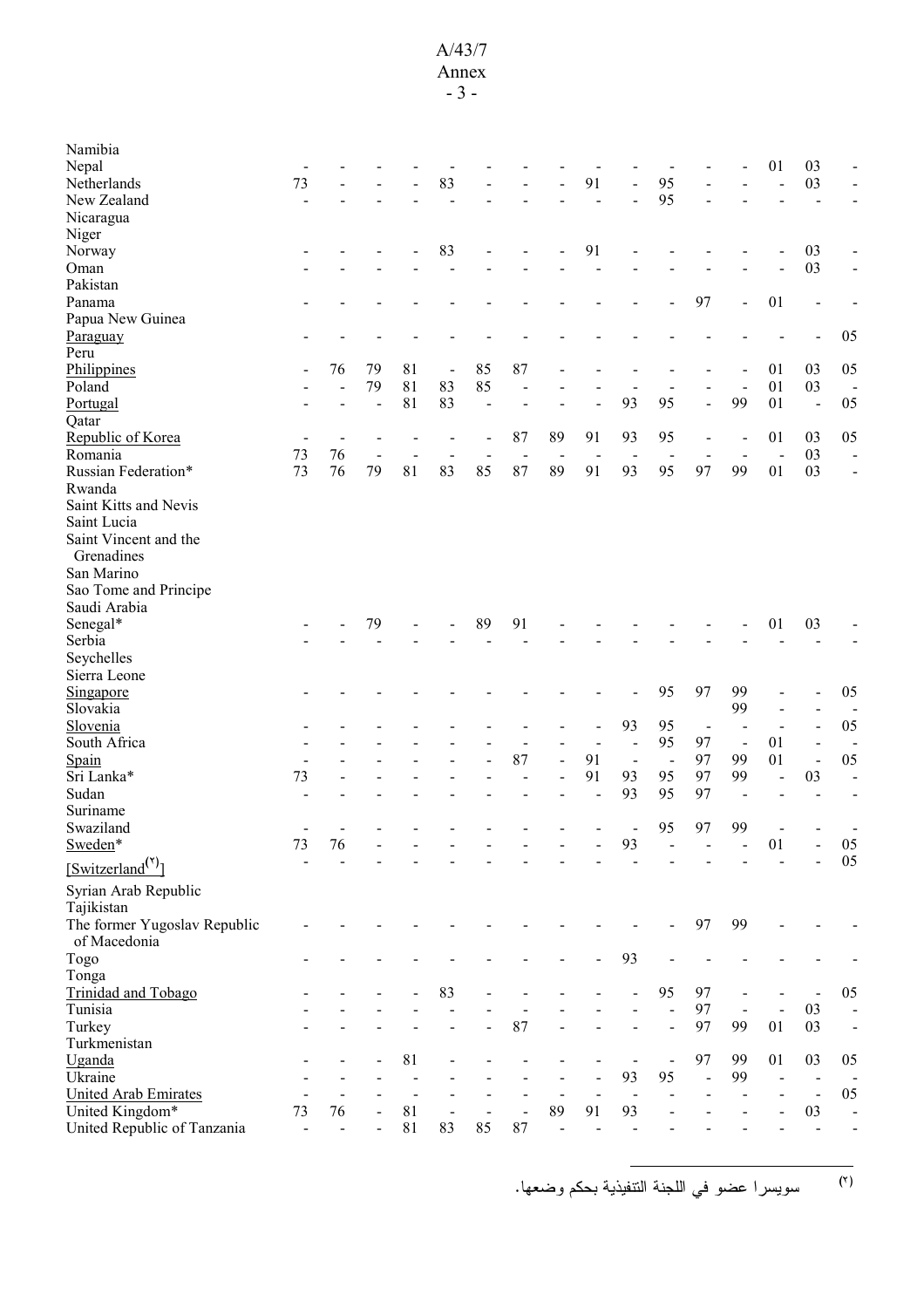#### A/43/7 Annex

- 3 -

| Namibia                      |                              |                |                |    |                          |    |                      |                                    |                |                |                              |                          |                          |                |                              |                          |
|------------------------------|------------------------------|----------------|----------------|----|--------------------------|----|----------------------|------------------------------------|----------------|----------------|------------------------------|--------------------------|--------------------------|----------------|------------------------------|--------------------------|
| Nepal                        |                              |                |                |    |                          |    |                      |                                    |                |                |                              |                          |                          | 01             | 03                           |                          |
| Netherlands                  | 73                           |                |                |    | 83                       |    |                      |                                    | 91             |                | 95                           |                          |                          | L,             | 03                           |                          |
| New Zealand                  | Ĭ.                           |                |                |    |                          |    |                      |                                    |                |                | 95                           |                          |                          |                | $\overline{a}$               |                          |
| Nicaragua                    |                              |                |                |    |                          |    |                      |                                    |                |                |                              |                          |                          |                |                              |                          |
| Niger                        |                              |                |                |    |                          |    |                      |                                    |                |                |                              |                          |                          |                |                              |                          |
| Norway                       |                              |                |                |    | 83                       |    |                      |                                    | 91             |                |                              |                          |                          |                | 03                           |                          |
| Oman                         |                              |                |                |    |                          |    |                      |                                    |                |                |                              |                          |                          |                | 03                           |                          |
| Pakistan                     |                              |                |                |    |                          |    |                      |                                    |                |                |                              |                          |                          |                |                              |                          |
| Panama                       |                              |                |                |    |                          |    |                      |                                    |                |                |                              | 97                       | ÷,                       | 01             | $\overline{a}$               |                          |
| Papua New Guinea             |                              |                |                |    |                          |    |                      |                                    |                |                |                              |                          |                          |                |                              |                          |
| Paraguay                     |                              |                |                |    |                          |    |                      |                                    |                |                |                              |                          |                          |                |                              | 05                       |
| Peru                         |                              |                |                |    |                          |    |                      |                                    |                |                |                              |                          |                          |                |                              |                          |
| Philippines                  |                              | 76             | 79             | 81 | $\overline{\phantom{0}}$ | 85 | 87                   |                                    |                |                |                              |                          |                          | 01             | 03                           | 05                       |
| Poland                       |                              |                | 79             | 81 | 83                       | 85 | ÷                    |                                    |                |                |                              |                          |                          | 01             | 03                           | $\blacksquare$           |
| Portugal                     |                              |                | $\overline{a}$ | 81 | 83                       |    |                      |                                    |                | 93             | 95                           |                          | 99                       | 01             | $\blacksquare$               | 05                       |
| Qatar                        |                              |                |                |    |                          |    |                      |                                    |                |                |                              |                          |                          |                |                              |                          |
| Republic of Korea            |                              |                |                |    |                          |    | 87                   | 89                                 | 91             | 93             | 95                           |                          |                          | 01             | 03                           | 05                       |
| Romania                      | 73                           | 76             | $\overline{a}$ |    |                          |    | $\blacksquare$       | $\overline{\phantom{a}}$           | $\overline{a}$ |                | $\overline{\phantom{0}}$     |                          |                          | $\blacksquare$ | 03                           | $\overline{a}$           |
| Russian Federation*          | 73                           | 76             | 79             | 81 | 83                       | 85 | 87                   | 89                                 | 91             | 93             | 95                           | 97                       | 99                       | 01             | 03                           | $\blacksquare$           |
| Rwanda                       |                              |                |                |    |                          |    |                      |                                    |                |                |                              |                          |                          |                |                              |                          |
| Saint Kitts and Nevis        |                              |                |                |    |                          |    |                      |                                    |                |                |                              |                          |                          |                |                              |                          |
| Saint Lucia                  |                              |                |                |    |                          |    |                      |                                    |                |                |                              |                          |                          |                |                              |                          |
| Saint Vincent and the        |                              |                |                |    |                          |    |                      |                                    |                |                |                              |                          |                          |                |                              |                          |
| Grenadines                   |                              |                |                |    |                          |    |                      |                                    |                |                |                              |                          |                          |                |                              |                          |
| San Marino                   |                              |                |                |    |                          |    |                      |                                    |                |                |                              |                          |                          |                |                              |                          |
| Sao Tome and Principe        |                              |                |                |    |                          |    |                      |                                    |                |                |                              |                          |                          |                |                              |                          |
| Saudi Arabia                 |                              |                |                |    |                          |    |                      |                                    |                |                |                              |                          |                          |                |                              |                          |
| Senegal*                     |                              |                | 79             |    |                          | 89 | 91                   |                                    |                |                |                              |                          |                          | 01             | 03                           |                          |
| Serbia                       |                              |                |                |    |                          |    |                      |                                    |                |                |                              |                          |                          |                |                              |                          |
| Seychelles                   |                              |                |                |    |                          |    |                      |                                    |                |                |                              |                          |                          |                |                              |                          |
| Sierra Leone                 |                              |                |                |    |                          |    |                      |                                    |                |                |                              |                          |                          |                |                              |                          |
| Singapore                    |                              |                |                |    |                          |    |                      |                                    |                |                | 95                           | 97                       | 99                       |                |                              | 05                       |
| Slovakia                     |                              |                |                |    |                          |    |                      |                                    |                |                |                              |                          | 99                       |                |                              |                          |
| Slovenia                     |                              |                |                |    |                          |    |                      |                                    |                | 93             | 95                           | $\overline{\phantom{a}}$ |                          | $\sim$         | $\overline{a}$               | 05                       |
| South Africa                 |                              |                |                |    |                          |    |                      |                                    |                |                | 95                           | 97                       | $\overline{\phantom{a}}$ | 01             | $\frac{1}{2}$                | $\overline{\phantom{0}}$ |
| Spain                        | $\overline{\phantom{a}}$     |                |                |    |                          |    | 87                   | $\frac{1}{2}$                      | 91             | $\blacksquare$ | $\overline{\phantom{a}}$     | 97                       | 99                       | 01             | $\overline{\phantom{0}}$     | 05                       |
| Sri Lanka*                   | 73                           |                |                |    |                          |    |                      | $\overline{a}$                     | 91             | 93             | 95                           | 97                       | 99                       |                | 03                           | ÷                        |
| Sudan                        |                              |                |                |    |                          |    |                      |                                    |                | 93             | 95                           | 97                       |                          |                |                              |                          |
| Suriname                     |                              |                |                |    |                          |    |                      |                                    |                |                |                              |                          |                          |                |                              |                          |
| Swaziland                    |                              |                |                |    |                          |    |                      |                                    |                |                | 95                           | 97                       | 99                       |                |                              |                          |
| Sweden*                      | 73                           | 76             |                |    |                          |    |                      |                                    |                | 93             |                              |                          |                          | 01             |                              | 05                       |
| [Switch(5)                   | $\qquad \qquad \blacksquare$ |                |                |    |                          |    |                      |                                    |                |                |                              |                          |                          |                |                              | 05                       |
| Syrian Arab Republic         |                              |                |                |    |                          |    |                      |                                    |                |                |                              |                          |                          |                |                              |                          |
| Tajikistan                   |                              |                |                |    |                          |    |                      |                                    |                |                |                              |                          |                          |                |                              |                          |
|                              |                              |                |                |    |                          |    |                      |                                    |                |                |                              |                          |                          |                |                              |                          |
| The former Yugoslav Republic |                              |                |                |    |                          |    |                      |                                    |                |                |                              | 97                       | 99                       |                |                              |                          |
| of Macedonia                 |                              |                |                |    |                          |    |                      |                                    |                |                |                              |                          |                          |                |                              |                          |
| Togo                         |                              |                |                |    |                          |    |                      |                                    |                | 93             |                              |                          |                          |                |                              |                          |
| Tonga                        |                              |                |                |    |                          |    |                      |                                    |                |                |                              |                          |                          |                |                              |                          |
| Trinidad and Tobago          |                              |                |                |    | 83                       |    |                      |                                    |                |                | 95                           | 97                       |                          |                |                              | 05                       |
| Tunisia                      |                              |                |                |    |                          |    |                      |                                    |                |                |                              | 97                       | $\blacksquare$           | $\overline{a}$ | 03                           |                          |
| Turkey                       |                              |                |                |    |                          |    | 87                   |                                    |                |                |                              | 97                       | 99                       | 01             | 03                           | $\frac{1}{2}$            |
| Turkmenistan                 |                              |                |                |    |                          |    |                      |                                    |                |                |                              |                          |                          |                |                              |                          |
| Uganda                       |                              |                |                | 81 |                          |    |                      |                                    |                |                | $\qquad \qquad \blacksquare$ | 97                       | 99                       | 01             | 03                           | 05                       |
| Ukraine                      |                              |                |                |    |                          |    |                      |                                    |                | 93             | 95                           | $\overline{a}$           | 99                       | $\blacksquare$ | $\qquad \qquad \blacksquare$ |                          |
| <b>United Arab Emirates</b>  |                              | $\overline{a}$ |                | 81 |                          |    |                      | $\qquad \qquad \blacksquare$<br>89 |                | $\blacksquare$ |                              |                          |                          |                | $\blacksquare$               | 05                       |
| United Kingdom*              | 73                           | 76             |                | 81 | $\blacksquare$           | 85 | $\overline{a}$<br>87 |                                    | 91             | 93             |                              |                          |                          |                | 03                           | $\overline{a}$           |
| United Republic of Tanzania  | $\blacksquare$               | $\overline{a}$ |                |    | 83                       |    |                      | $\overline{a}$                     |                |                |                              |                          |                          |                | ÷,                           | L,                       |

<sup>(٢)</sup> سويسر ا عضو في اللجنة التنفيذية بحكم وضعها.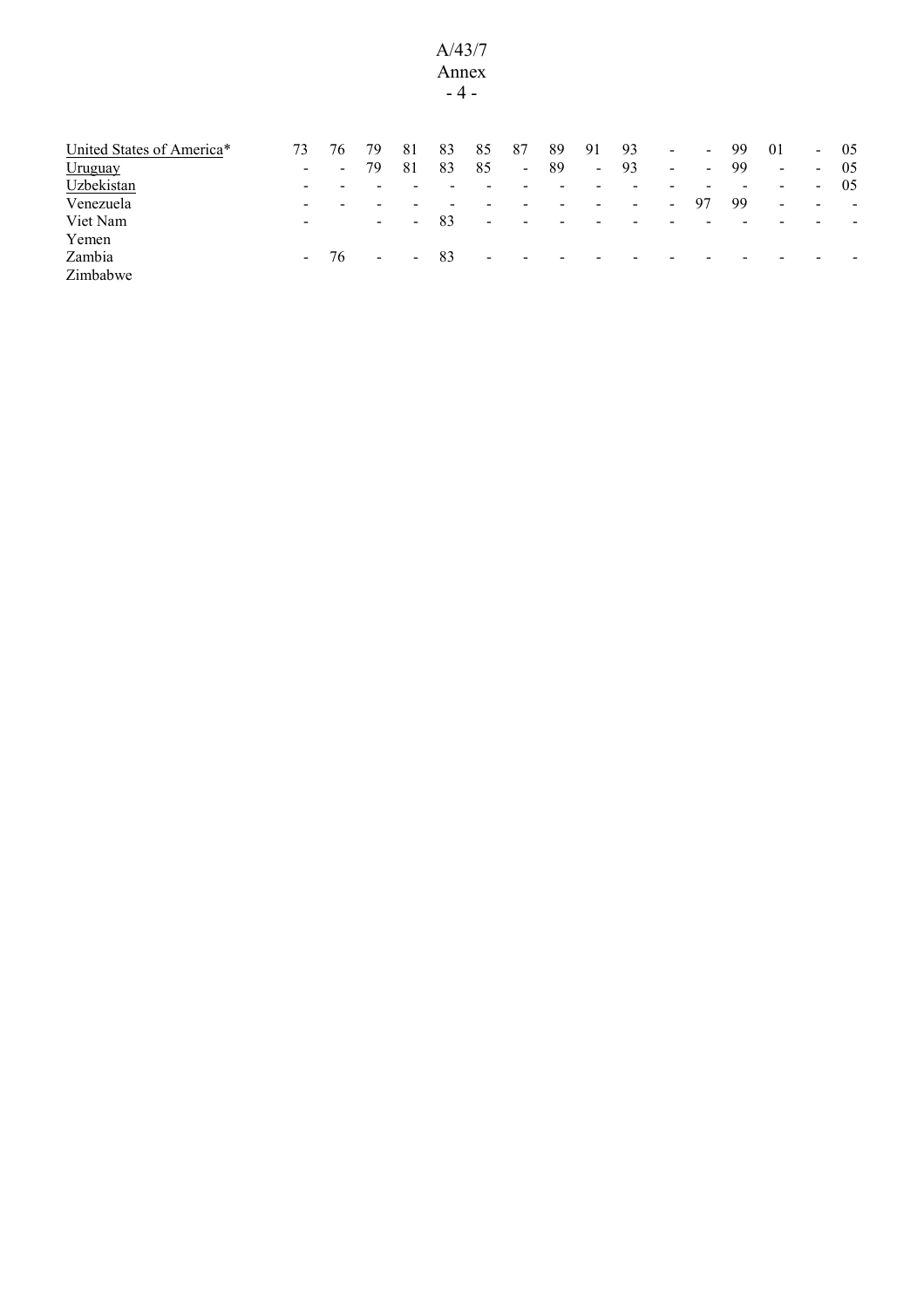#### A/43/7 Annex - 4 -

| United States of America* | 73                       | 76                       | 79     | 81             | 83                       | 85                       | 87                       | 89                       | 91                         | 93             | $\sim$         | $\sim$                   | 99 | 01                       |                          | $-05$ |
|---------------------------|--------------------------|--------------------------|--------|----------------|--------------------------|--------------------------|--------------------------|--------------------------|----------------------------|----------------|----------------|--------------------------|----|--------------------------|--------------------------|-------|
| <b>Uruguay</b>            | $\sim$                   | $\sim$                   | 79     | 81             | 83                       | 85                       | $\sim$                   | -89                      | $\mathcal{L}_{\text{max}}$ | 93             | $\blacksquare$ | $\overline{\phantom{a}}$ | 99 | $\sim$                   | $\sim$                   | -05   |
| Uzbekistan                | $\overline{\phantom{0}}$ |                          |        |                |                          |                          |                          |                          |                            |                |                |                          |    | $\overline{\phantom{a}}$ | $\sim$                   | -05   |
| Venezuela                 | $\overline{\phantom{0}}$ | $\overline{\phantom{0}}$ |        |                | $\overline{\phantom{0}}$ |                          | -                        |                          | $\overline{\phantom{0}}$   | $\blacksquare$ | $\sim$         | 97                       | 99 | $\blacksquare$           | $\overline{\phantom{0}}$ | $\,$  |
| Viet Nam                  | $\overline{\phantom{0}}$ |                          | $\sim$ | $\blacksquare$ | 83                       | $\overline{\phantom{a}}$ | $\sim$                   | $\overline{\phantom{0}}$ |                            |                |                |                          |    |                          |                          |       |
| Yemen                     |                          |                          |        |                |                          |                          |                          |                          |                            |                |                |                          |    |                          |                          |       |
| Zambia                    | $\sim$ 10 $\pm$          | 76                       | $\sim$ | $\sim$         | 83                       | $\overline{\phantom{a}}$ | $\overline{\phantom{a}}$ |                          |                            |                |                |                          |    |                          |                          |       |
| Zimbabwe                  |                          |                          |        |                |                          |                          |                          |                          |                            |                |                |                          |    |                          |                          |       |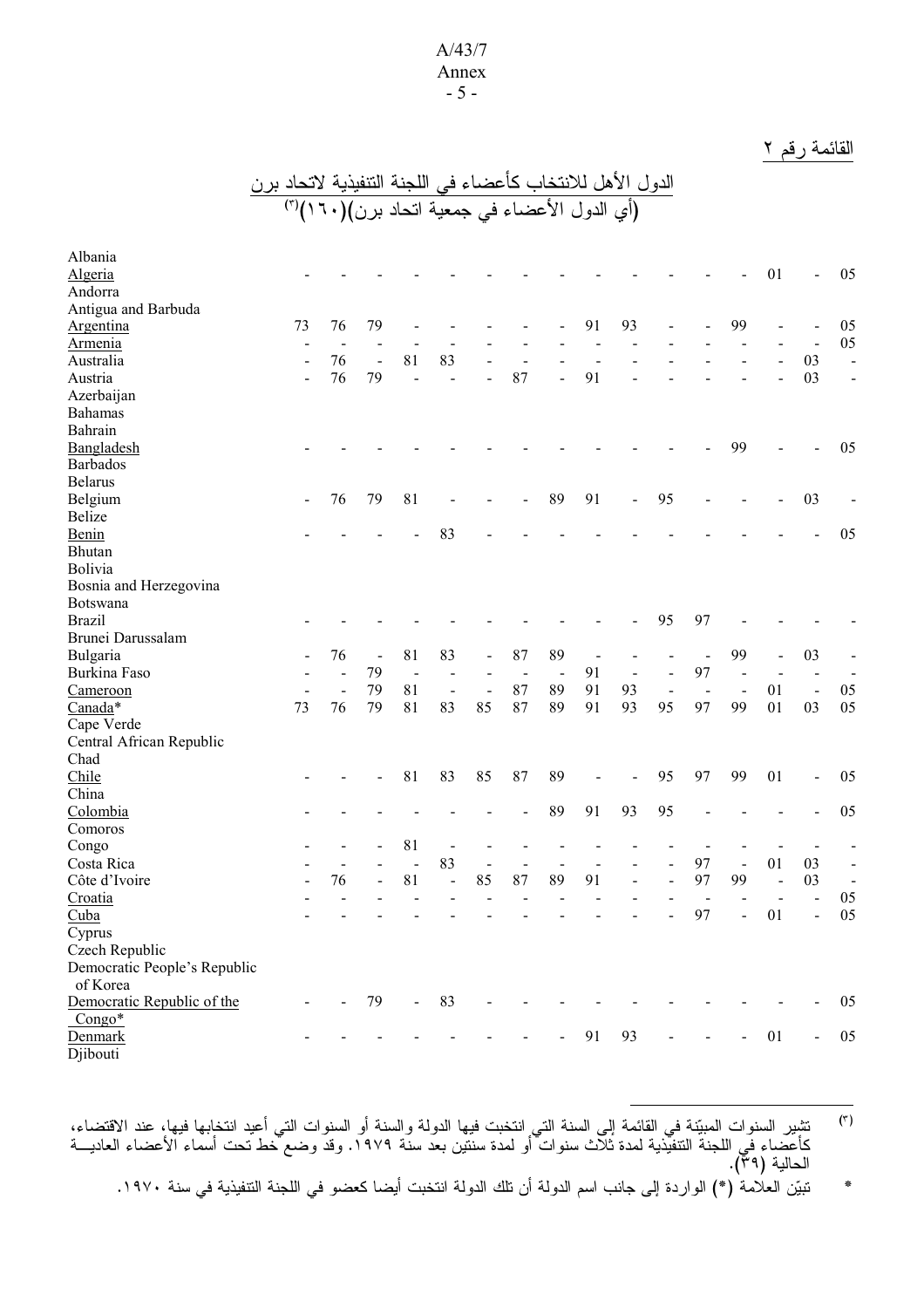#### A/43/7 Annex - 5 -

# القائمة رقم ٢

|                                    | الدول الأهل للانتخاب كأعضاء في اللجنة التنفيذية لاتحاد ب <u>رن</u><br>(أي الدول الأعضاء في جمعية اتحاد برن)(٦٠) <sup>(٣)</sup> |                |    |                      |                |                              |                      |        |    |    |                |                          |                |        |                          |                |
|------------------------------------|--------------------------------------------------------------------------------------------------------------------------------|----------------|----|----------------------|----------------|------------------------------|----------------------|--------|----|----|----------------|--------------------------|----------------|--------|--------------------------|----------------|
|                                    |                                                                                                                                |                |    |                      |                |                              |                      |        |    |    |                |                          |                |        |                          |                |
| Albania                            |                                                                                                                                |                |    |                      |                |                              |                      |        |    |    |                |                          |                |        |                          |                |
| <b>Algeria</b>                     |                                                                                                                                |                |    |                      |                |                              |                      |        |    |    |                |                          |                | 01     |                          | 05             |
| Andorra                            |                                                                                                                                |                |    |                      |                |                              |                      |        |    |    |                |                          |                |        |                          |                |
| Antigua and Barbuda                |                                                                                                                                |                |    |                      |                |                              |                      |        |    |    |                |                          |                |        |                          |                |
| Argentina                          | 73                                                                                                                             | 76             | 79 |                      |                |                              |                      |        | 91 | 93 |                |                          | 99             |        |                          | 05             |
| <b>Armenia</b>                     | ÷                                                                                                                              |                |    |                      |                |                              |                      |        |    |    |                |                          |                |        | $\blacksquare$           | 05             |
| Australia                          |                                                                                                                                | 76             |    | 81                   | 83             |                              |                      |        |    |    |                |                          |                |        | 03                       | $\blacksquare$ |
| Austria                            |                                                                                                                                | 76             | 79 | $\overline{a}$       |                |                              | 87                   |        | 91 |    |                |                          |                |        | 03                       | $\blacksquare$ |
| Azerbaijan                         |                                                                                                                                |                |    |                      |                |                              |                      |        |    |    |                |                          |                |        |                          |                |
| <b>Bahamas</b>                     |                                                                                                                                |                |    |                      |                |                              |                      |        |    |    |                |                          |                |        |                          |                |
| Bahrain                            |                                                                                                                                |                |    |                      |                |                              |                      |        |    |    |                |                          |                |        |                          |                |
| Bangladesh                         |                                                                                                                                |                |    |                      |                |                              |                      |        |    |    |                |                          | 99             |        |                          | 05             |
| <b>Barbados</b>                    |                                                                                                                                |                |    |                      |                |                              |                      |        |    |    |                |                          |                |        |                          |                |
| <b>Belarus</b>                     |                                                                                                                                |                |    |                      |                |                              |                      |        |    |    |                |                          |                |        |                          |                |
| Belgium                            |                                                                                                                                | 76             | 79 | 81                   |                |                              |                      | 89     | 91 |    | 95             |                          |                |        | 03                       |                |
| Belize                             |                                                                                                                                |                |    |                      |                |                              |                      |        |    |    |                |                          |                |        |                          |                |
| Benin                              |                                                                                                                                |                |    |                      | 83             |                              |                      |        |    |    |                |                          |                |        |                          | 05             |
| Bhutan                             |                                                                                                                                |                |    |                      |                |                              |                      |        |    |    |                |                          |                |        |                          |                |
| Bolivia                            |                                                                                                                                |                |    |                      |                |                              |                      |        |    |    |                |                          |                |        |                          |                |
| Bosnia and Herzegovina<br>Botswana |                                                                                                                                |                |    |                      |                |                              |                      |        |    |    |                |                          |                |        |                          |                |
| <b>Brazil</b>                      |                                                                                                                                |                |    |                      |                |                              |                      |        |    |    | 95             | 97                       |                |        |                          |                |
| Brunei Darussalam                  |                                                                                                                                |                |    |                      |                |                              |                      |        |    |    |                |                          |                |        |                          |                |
| Bulgaria                           |                                                                                                                                | 76             |    | 81                   | 83             |                              | 87                   | 89     |    |    |                |                          | 99             |        | 03                       |                |
| Burkina Faso                       |                                                                                                                                |                | 79 | $\ddot{\phantom{a}}$ |                |                              | $\ddot{\phantom{a}}$ | $\sim$ | 91 |    | $\overline{a}$ | 97                       |                |        |                          |                |
| Cameroon                           |                                                                                                                                | $\blacksquare$ | 79 | 81                   | $\blacksquare$ | $\qquad \qquad \blacksquare$ | 87                   | 89     | 91 | 93 | $\blacksquare$ | $\overline{\phantom{a}}$ | $\blacksquare$ | 01     | $\sim$                   | 05             |
| Canada*                            | 73                                                                                                                             | 76             | 79 | 81                   | 83             | 85                           | 87                   | 89     | 91 | 93 | 95             | 97                       | 99             | 01     | 03                       | 05             |
| Cape Verde                         |                                                                                                                                |                |    |                      |                |                              |                      |        |    |    |                |                          |                |        |                          |                |
| Central African Republic           |                                                                                                                                |                |    |                      |                |                              |                      |        |    |    |                |                          |                |        |                          |                |
| Chad                               |                                                                                                                                |                |    |                      |                |                              |                      |        |    |    |                |                          |                |        |                          |                |
| Chile                              |                                                                                                                                |                |    | 81                   | 83             | 85                           | 87                   | 89     |    |    | 95             | 97                       | 99             | 01     | $\overline{\phantom{0}}$ | 05             |
| China                              |                                                                                                                                |                |    |                      |                |                              |                      |        |    |    |                |                          |                |        |                          |                |
| Colombia                           |                                                                                                                                |                |    |                      |                |                              |                      | 89     | 91 | 93 | 95             |                          |                |        |                          | 05             |
| Comoros                            |                                                                                                                                |                |    |                      |                |                              |                      |        |    |    |                |                          |                |        |                          |                |
| Congo                              |                                                                                                                                |                |    | 81                   |                |                              |                      |        |    |    |                |                          |                |        |                          |                |
| Costa Rica                         |                                                                                                                                |                |    |                      | 83             |                              |                      |        |    |    |                | 97                       |                | 01     | 03                       |                |
| Côte d'Ivoire                      |                                                                                                                                | 76             |    | $8\sqrt{1}$          |                | 85                           | 87                   | 89     | 91 |    |                | 97                       | 99             |        | 03                       | $\blacksquare$ |
| Croatia                            |                                                                                                                                |                |    |                      |                |                              |                      |        |    |    |                |                          |                |        |                          | 05             |
| Cuba                               |                                                                                                                                |                |    |                      |                |                              |                      |        |    |    |                | 97                       | $\overline{a}$ | 01     | $\overline{a}$           | 05             |
| Cyprus                             |                                                                                                                                |                |    |                      |                |                              |                      |        |    |    |                |                          |                |        |                          |                |
| Czech Republic                     |                                                                                                                                |                |    |                      |                |                              |                      |        |    |    |                |                          |                |        |                          |                |
| Democratic People's Republic       |                                                                                                                                |                |    |                      |                |                              |                      |        |    |    |                |                          |                |        |                          |                |
| of Korea                           |                                                                                                                                |                |    |                      |                |                              |                      |        |    |    |                |                          |                |        |                          |                |
| Democratic Republic of the         |                                                                                                                                |                | 79 | $\blacksquare$       | 83             |                              |                      |        |    |    |                |                          |                |        |                          | 05             |
| $Congo*$                           |                                                                                                                                |                |    |                      |                |                              |                      |        |    |    |                |                          |                |        |                          |                |
| Denmark                            |                                                                                                                                |                |    |                      |                |                              |                      |        | 91 | 93 |                |                          |                | $01\,$ | $\overline{\phantom{a}}$ | 05             |
| Djibouti                           |                                                                                                                                |                |    |                      |                |                              |                      |        |    |    |                |                          |                |        |                          |                |

<sup>(٢)</sup> تشيير السنوات المبيّنة في القائمة إلى السنة التي انتخبت فيها الدولة والسنة أو السنوات التي أعيد انتخابها فيها، عند الاقتضاء، كأعُضاء فَي اللجنةُ التنفيُّذية لمدة ثُلَّاث سنوات ۖ أو لمدة سنتَين بعد سنَّة ١٩٧٩. وقدَّ وضع خط نحت أسماء الأعضاء العاديـــة الحالية (٣٩).

بيّن العلامة (\*) الواردة إلى جانب اسم الدولة أن تلك الدولة انتخبت أيضا كعضو في اللجنة التنفيذية في سنة ١٩٧٠.  $\boldsymbol{\ast}$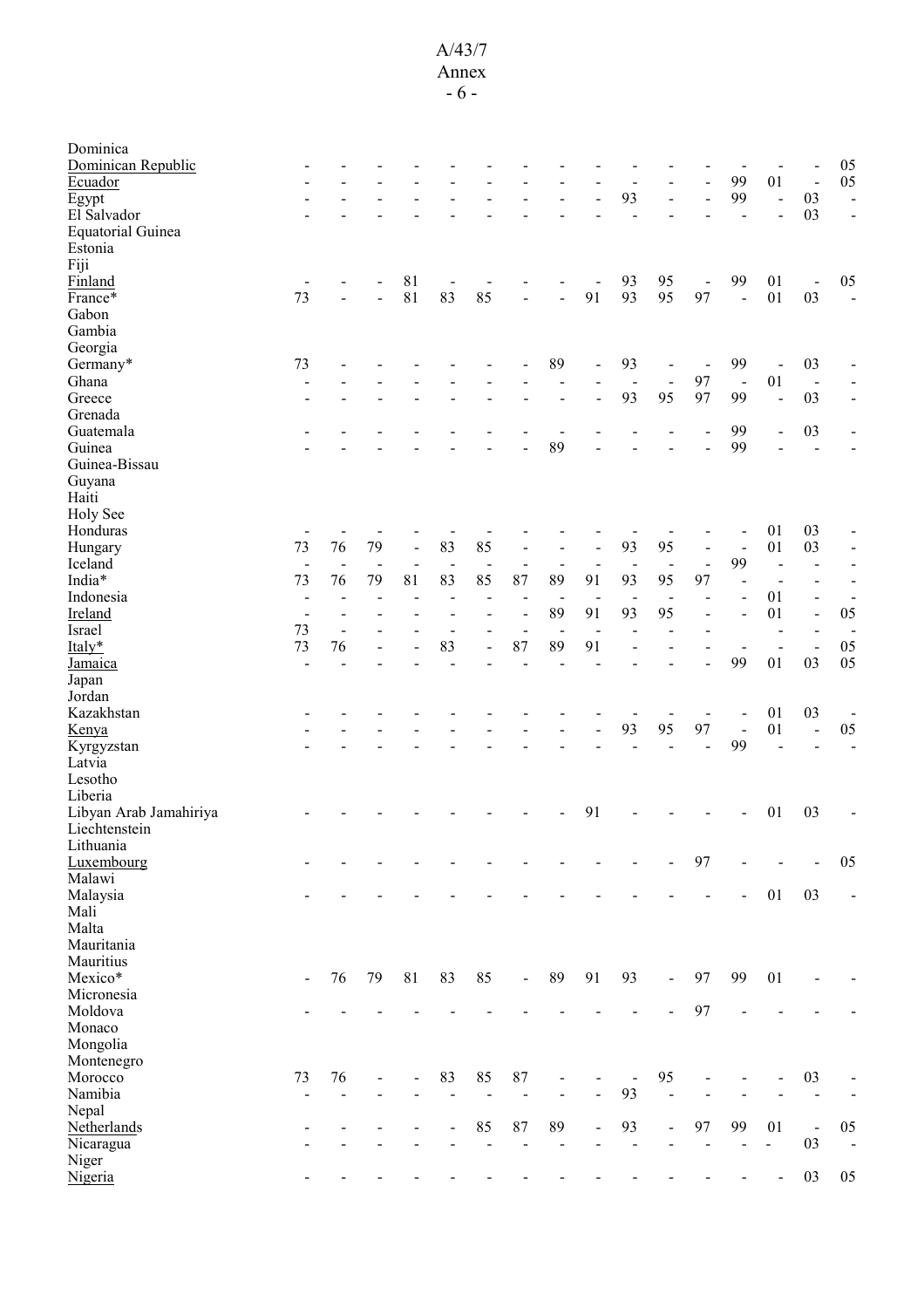# A/43/7

Annex - 6 -

| Dominica                            |                          |                              |                |                |                |                          |                              |                          |                |                |                |                                    |                |                              |                          |                              |
|-------------------------------------|--------------------------|------------------------------|----------------|----------------|----------------|--------------------------|------------------------------|--------------------------|----------------|----------------|----------------|------------------------------------|----------------|------------------------------|--------------------------|------------------------------|
| Dominican Republic                  |                          |                              |                |                |                |                          |                              |                          |                |                |                |                                    |                |                              |                          | 05                           |
| Ecuador                             |                          |                              |                |                |                |                          |                              |                          |                | -              |                |                                    | 99             | 01                           | $\blacksquare$           | 05                           |
| Egypt                               |                          |                              |                |                |                |                          |                              |                          |                | 93             | $\blacksquare$ |                                    | 99             | $\blacksquare$               | 03                       | $\blacksquare$               |
| El Salvador                         |                          |                              |                |                |                |                          |                              |                          |                |                |                |                                    |                |                              | 03                       | $\overline{\phantom{a}}$     |
| <b>Equatorial Guinea</b><br>Estonia |                          |                              |                |                |                |                          |                              |                          |                |                |                |                                    |                |                              |                          |                              |
| Fiji                                |                          |                              |                |                |                |                          |                              |                          |                |                |                |                                    |                |                              |                          |                              |
| Finland                             |                          |                              |                | 81             |                |                          |                              |                          |                | 93             | 95             |                                    | 99             | 01                           |                          | 05                           |
| France*                             | 73                       |                              |                | 81             | 83             | 85                       |                              |                          | 91             | 93             | 95             | $\qquad \qquad \blacksquare$<br>97 |                | 01                           | $\blacksquare$<br>03     |                              |
|                                     |                          |                              |                |                |                |                          |                              |                          |                |                |                |                                    | $\frac{1}{2}$  |                              |                          | $\blacksquare$               |
| Gabon                               |                          |                              |                |                |                |                          |                              |                          |                |                |                |                                    |                |                              |                          |                              |
| Gambia                              |                          |                              |                |                |                |                          |                              |                          |                |                |                |                                    |                |                              |                          |                              |
| Georgia                             |                          |                              |                |                |                |                          |                              |                          |                |                |                |                                    |                |                              |                          |                              |
| Germany*                            | 73                       |                              |                |                |                |                          |                              | 89                       |                | 93             | $\blacksquare$ |                                    | 99             | $\qquad \qquad \blacksquare$ | 03                       |                              |
| Ghana                               |                          |                              |                |                |                |                          |                              |                          |                | $\blacksquare$ | $\blacksquare$ | 97                                 | $\blacksquare$ | 01                           | $\blacksquare$           |                              |
| Greece                              |                          |                              |                |                |                |                          |                              |                          |                | 93             | 95             | 97                                 | 99             | $\overline{a}$               | 03                       | $\blacksquare$               |
| Grenada                             |                          |                              |                |                |                |                          |                              |                          |                |                |                |                                    |                |                              |                          |                              |
| Guatemala                           |                          |                              |                |                |                |                          |                              |                          |                |                |                |                                    | 99             | $\overline{\phantom{a}}$     | 03                       |                              |
| Guinea                              |                          |                              |                |                |                |                          |                              | 89                       |                |                |                |                                    | 99             |                              | $\blacksquare$           |                              |
| Guinea-Bissau                       |                          |                              |                |                |                |                          |                              |                          |                |                |                |                                    |                |                              |                          |                              |
| Guyana                              |                          |                              |                |                |                |                          |                              |                          |                |                |                |                                    |                |                              |                          |                              |
| Haiti                               |                          |                              |                |                |                |                          |                              |                          |                |                |                |                                    |                |                              |                          |                              |
| Holy See                            |                          |                              |                |                |                |                          |                              |                          |                |                |                |                                    |                |                              |                          |                              |
| Honduras                            |                          |                              |                |                |                |                          |                              |                          |                |                |                |                                    |                | 01                           | 03                       |                              |
| Hungary                             | 73                       | 76                           | 79             | $\frac{1}{2}$  | 83             | 85                       | $\overline{a}$               |                          |                | 93             | 95             |                                    |                | 01                           | 03                       | $\qquad \qquad \blacksquare$ |
| Iceland                             | $\overline{\phantom{a}}$ | $\blacksquare$               | $\blacksquare$ | $\blacksquare$ | $\blacksquare$ | $\blacksquare$           | $\qquad \qquad \blacksquare$ |                          |                |                | $\blacksquare$ | $\overline{a}$                     | 99             | $\overline{\phantom{a}}$     | $\overline{\phantom{a}}$ | $\blacksquare$               |
| India*                              | 73                       | 76                           | 79             | 81             | 83             | 85                       | 87                           | 89                       | 91             | 93             | 95             | 97                                 |                |                              |                          | $\blacksquare$               |
| Indonesia                           | $\overline{\phantom{a}}$ |                              |                |                |                |                          |                              | $\overline{\phantom{a}}$ |                |                | $\overline{a}$ |                                    |                | 01                           | $\blacksquare$           | $\blacksquare$               |
| Ireland                             | $\blacksquare$           |                              |                |                |                |                          | $\blacksquare$               | 89                       | 91             | 93             | 95             |                                    |                | 01                           | $\blacksquare$           | 05                           |
| Israel                              | 73                       | $\qquad \qquad \blacksquare$ |                |                |                |                          | $\qquad \qquad \blacksquare$ | $\blacksquare$           | $\blacksquare$ |                |                |                                    |                | $\overline{\phantom{a}}$     | $\blacksquare$           | $\overline{\phantom{a}}$     |
| Italy*                              | 73                       | 76                           |                | L,             | 83             | $\overline{\phantom{0}}$ | 87                           | 89                       | 91             |                |                |                                    |                | $\overline{\phantom{a}}$     | $\blacksquare$           | 05                           |
| Jamaica                             |                          |                              |                |                |                |                          |                              |                          |                |                |                |                                    | 99             | 01                           | 03                       | 05                           |
|                                     |                          |                              |                |                |                |                          |                              |                          |                |                |                |                                    |                |                              |                          |                              |
| Japan<br>Jordan                     |                          |                              |                |                |                |                          |                              |                          |                |                |                |                                    |                |                              |                          |                              |
|                                     |                          |                              |                |                |                |                          |                              |                          |                |                |                |                                    |                |                              |                          |                              |
| Kazakhstan                          |                          |                              |                |                |                |                          |                              |                          |                |                | 95             |                                    |                | 01                           | 03                       | $\overline{\phantom{a}}$     |
| <u>Kenya</u>                        |                          |                              |                |                |                |                          |                              |                          |                | 93             |                | 97                                 | $\blacksquare$ | 01                           | $\blacksquare$           | $05\,$                       |
| Kyrgyzstan                          |                          |                              |                |                |                |                          |                              |                          |                |                |                |                                    | 99             |                              |                          |                              |
| Latvia                              |                          |                              |                |                |                |                          |                              |                          |                |                |                |                                    |                |                              |                          |                              |
| Lesotho                             |                          |                              |                |                |                |                          |                              |                          |                |                |                |                                    |                |                              |                          |                              |
| Liberia                             |                          |                              |                |                |                |                          |                              |                          |                |                |                |                                    |                |                              |                          |                              |
| Libyan Arab Jamahiriya              |                          |                              |                |                |                |                          |                              |                          | 91             |                |                |                                    |                | 01                           | 03                       |                              |
| Liechtenstein                       |                          |                              |                |                |                |                          |                              |                          |                |                |                |                                    |                |                              |                          |                              |
| Lithuania                           |                          |                              |                |                |                |                          |                              |                          |                |                |                |                                    |                |                              |                          |                              |
| Luxembourg                          |                          |                              |                |                |                |                          |                              |                          |                |                |                | 97                                 |                |                              |                          | 05                           |
| Malawi                              |                          |                              |                |                |                |                          |                              |                          |                |                |                |                                    |                |                              |                          |                              |
| Malaysia                            |                          |                              |                |                |                |                          |                              |                          |                |                |                |                                    |                | 01                           | 03                       |                              |
| Mali                                |                          |                              |                |                |                |                          |                              |                          |                |                |                |                                    |                |                              |                          |                              |
| Malta                               |                          |                              |                |                |                |                          |                              |                          |                |                |                |                                    |                |                              |                          |                              |
| Mauritania                          |                          |                              |                |                |                |                          |                              |                          |                |                |                |                                    |                |                              |                          |                              |
| Mauritius                           |                          |                              |                |                |                |                          |                              |                          |                |                |                |                                    |                |                              |                          |                              |
| Mexico*                             |                          | 76                           | 79             | 81             | 83             | 85                       | $\blacksquare$               | 89                       | 91             | 93             | $\blacksquare$ | 97                                 | 99             | 01                           |                          |                              |
| Micronesia                          |                          |                              |                |                |                |                          |                              |                          |                |                |                |                                    |                |                              |                          |                              |
| Moldova                             |                          |                              |                |                |                |                          |                              |                          |                |                |                | 97                                 |                |                              |                          |                              |
| Monaco                              |                          |                              |                |                |                |                          |                              |                          |                |                |                |                                    |                |                              |                          |                              |
| Mongolia                            |                          |                              |                |                |                |                          |                              |                          |                |                |                |                                    |                |                              |                          |                              |
| Montenegro                          |                          |                              |                |                |                |                          |                              |                          |                |                |                |                                    |                |                              |                          |                              |
| Morocco                             | 73                       | 76                           |                |                | 83             | 85                       | $87\,$                       |                          |                |                | 95             |                                    |                |                              | 03                       |                              |
| Namibia                             |                          |                              |                |                |                |                          |                              |                          |                | 93             | $\overline{a}$ |                                    |                |                              |                          |                              |
|                                     | $\overline{a}$           |                              |                |                |                |                          |                              |                          |                |                |                |                                    |                |                              |                          |                              |
| Nepal                               |                          |                              |                |                |                |                          |                              | 89                       |                | 93             |                |                                    | 99             |                              |                          |                              |
| Netherlands                         |                          |                              |                |                |                | 85                       | 87                           |                          |                | $\overline{a}$ |                | 97                                 |                | 01<br>$\overline{a}$         | $\blacksquare$<br>03     | 05                           |
| Nicaragua                           |                          |                              |                |                |                |                          |                              |                          |                |                |                |                                    |                |                              |                          | $\blacksquare$               |
| Niger                               |                          |                              |                |                |                |                          |                              |                          |                |                |                |                                    |                |                              |                          |                              |
| Nigeria                             |                          |                              |                |                |                |                          |                              |                          |                |                |                |                                    |                |                              | 03                       | 05                           |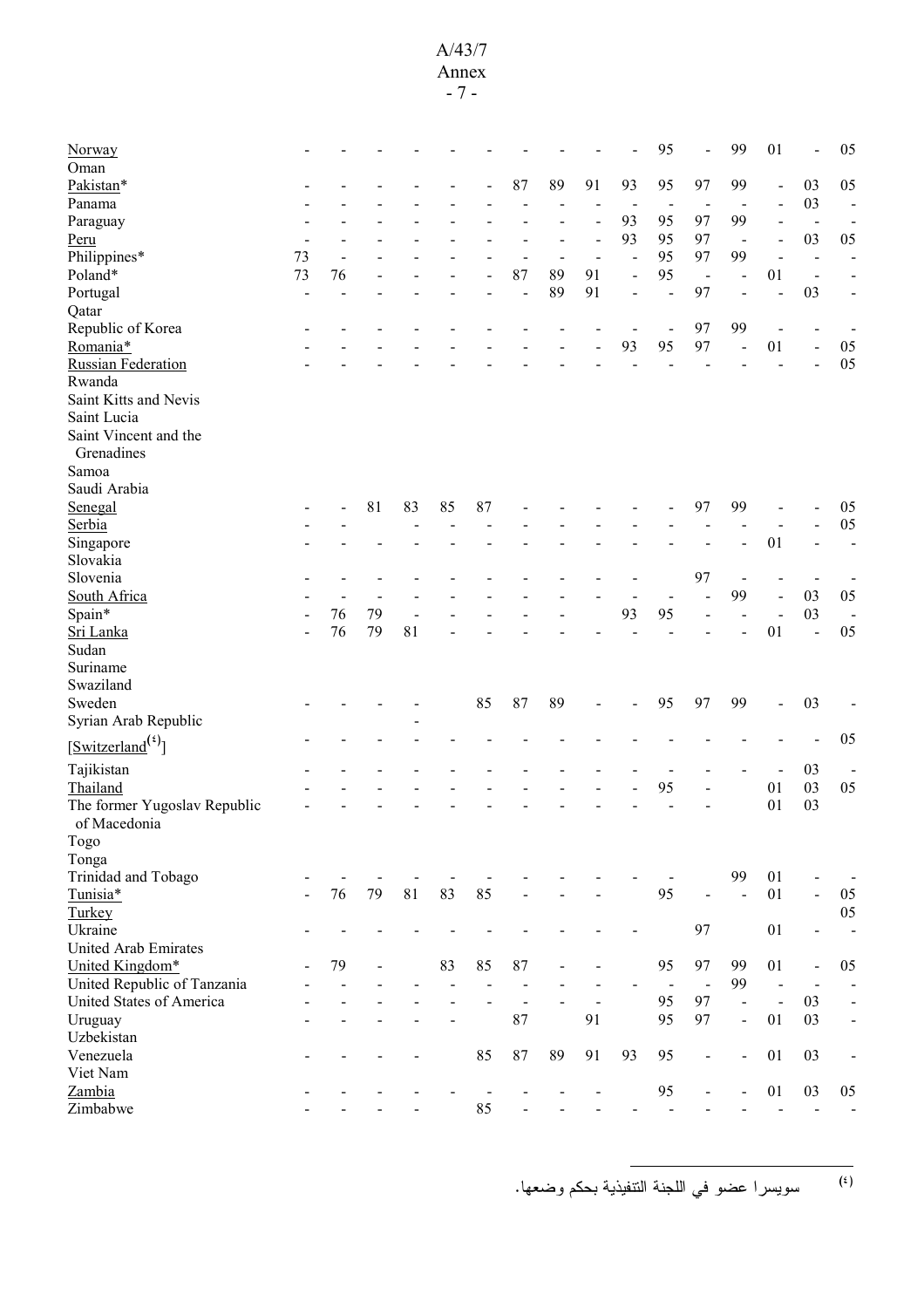#### A/43/7 Annex

- 7 -

| Norway                              |    |    |    |    |    |    |                |    |                |                | 95                       |                          | 99             | 01                   |                          | 05                       |
|-------------------------------------|----|----|----|----|----|----|----------------|----|----------------|----------------|--------------------------|--------------------------|----------------|----------------------|--------------------------|--------------------------|
| Oman                                |    |    |    |    |    |    |                |    |                |                |                          |                          |                |                      |                          |                          |
| Pakistan*                           |    |    |    |    |    |    | 87             | 89 | 91             | 93             | 95                       | 97                       | 99             | $\overline{a}$       | 03                       | 05                       |
| Panama                              |    |    |    |    |    |    |                |    |                |                |                          |                          |                |                      | 03                       | $\overline{\phantom{a}}$ |
| Paraguay                            |    |    |    |    |    |    |                |    |                | 93             | 95                       | 97                       | 99             |                      | $\blacksquare$           | $\overline{\phantom{0}}$ |
| Peru                                |    |    |    |    |    |    |                |    |                | 93             | 95                       | 97                       | $\blacksquare$ |                      | 03                       | 05                       |
| Philippines*                        | 73 |    |    |    |    |    |                |    |                | $\overline{a}$ | 95                       | 97                       | 99             |                      |                          |                          |
| Poland*                             | 73 | 76 |    |    |    |    | 87             | 89 | 91             |                | 95                       | $\blacksquare$           | $\blacksquare$ | 01                   | L,                       |                          |
| Portugal                            | ÷  |    |    |    |    |    | L,             | 89 | 91             |                | L,                       | 97                       |                |                      | 03                       |                          |
| Qatar                               |    |    |    |    |    |    |                |    |                |                |                          |                          |                |                      |                          |                          |
| Republic of Korea                   |    |    |    |    |    |    |                |    |                |                | $\overline{\phantom{a}}$ | 97                       | 99             |                      |                          |                          |
| Romania*                            |    |    |    |    |    |    |                |    |                | 93             | 95                       | 97                       |                | 01                   | $\blacksquare$           | 05                       |
| <b>Russian Federation</b>           |    |    |    |    |    |    |                |    |                |                |                          |                          |                |                      |                          | 05                       |
| Rwanda                              |    |    |    |    |    |    |                |    |                |                |                          |                          |                |                      |                          |                          |
| Saint Kitts and Nevis               |    |    |    |    |    |    |                |    |                |                |                          |                          |                |                      |                          |                          |
| Saint Lucia                         |    |    |    |    |    |    |                |    |                |                |                          |                          |                |                      |                          |                          |
| Saint Vincent and the               |    |    |    |    |    |    |                |    |                |                |                          |                          |                |                      |                          |                          |
| Grenadines                          |    |    |    |    |    |    |                |    |                |                |                          |                          |                |                      |                          |                          |
| Samoa                               |    |    |    |    |    |    |                |    |                |                |                          |                          |                |                      |                          |                          |
| Saudi Arabia                        |    |    |    |    |    |    |                |    |                |                |                          |                          |                |                      |                          |                          |
| Senegal                             |    |    | 81 | 83 | 85 | 87 |                |    |                |                |                          | 97                       | 99             |                      |                          | 05                       |
| Serbia                              |    |    |    |    |    |    |                |    |                |                |                          |                          |                |                      |                          | 05                       |
| Singapore                           |    |    |    |    |    |    |                |    |                |                |                          |                          |                | 01                   |                          |                          |
| Slovakia                            |    |    |    |    |    |    |                |    |                |                |                          |                          |                |                      |                          |                          |
| Slovenia                            |    |    |    |    |    |    |                |    |                |                |                          | 97                       |                |                      |                          |                          |
| South Africa                        |    |    |    |    |    |    |                |    |                |                |                          |                          | 99             |                      | 03                       | 05                       |
| Spain*                              |    | 76 | 79 |    |    |    |                |    |                | 93             | 95                       |                          |                |                      | 03                       |                          |
| Sri Lanka                           |    | 76 | 79 | 81 |    |    |                |    |                |                |                          |                          |                | 01                   | $\overline{a}$           | 05                       |
| Sudan                               |    |    |    |    |    |    |                |    |                |                |                          |                          |                |                      |                          |                          |
| Suriname                            |    |    |    |    |    |    |                |    |                |                |                          |                          |                |                      |                          |                          |
| Swaziland                           |    |    |    |    |    |    |                |    |                |                |                          |                          |                |                      |                          |                          |
| Sweden                              |    |    |    |    |    | 85 | 87             | 89 |                |                | 95                       | 97                       | 99             |                      | 03                       |                          |
|                                     |    |    |    |    |    |    |                |    |                |                |                          |                          |                |                      |                          |                          |
| Syrian Arab Republic                |    |    |    |    |    |    |                |    |                |                |                          |                          |                |                      |                          |                          |
| $[\text{Switzerland}^{(\text{t})}]$ |    |    |    |    |    |    |                |    |                |                |                          |                          |                |                      |                          | 05                       |
| Tajikistan                          |    |    |    |    |    |    |                |    |                |                |                          |                          |                |                      | 03                       |                          |
| Thailand                            |    |    |    |    |    |    |                |    |                |                | 95                       |                          |                | 01                   | 03                       | 05                       |
| The former Yugoslav Republic        |    |    |    |    |    |    |                |    |                |                |                          |                          |                | 01                   | 03                       |                          |
| of Macedonia                        |    |    |    |    |    |    |                |    |                |                |                          |                          |                |                      |                          |                          |
| Togo                                |    |    |    |    |    |    |                |    |                |                |                          |                          |                |                      |                          |                          |
| Tonga                               |    |    |    |    |    |    |                |    |                |                |                          |                          |                |                      |                          |                          |
| Trinidad and Tobago                 |    |    |    |    |    |    |                |    |                |                |                          |                          | 99             | 01                   |                          |                          |
| Tunisia*                            |    | 76 | 79 | 81 | 83 | 85 |                |    |                |                | 95                       |                          |                | 01                   | $\Box$                   | 05                       |
| Turkey                              |    |    |    |    |    |    |                |    |                |                |                          |                          |                |                      |                          | 05                       |
| Ukraine                             |    |    |    |    |    |    |                |    |                |                |                          | 97                       |                | 01                   | $\overline{\phantom{a}}$ | $\blacksquare$           |
| United Arab Emirates                |    |    |    |    |    |    |                |    |                |                |                          |                          |                |                      |                          |                          |
| United Kingdom*                     |    | 79 |    |    | 83 | 85 | $87\,$         |    |                |                | 95                       | 97                       | 99             | 01                   | $\blacksquare$           | 05                       |
| United Republic of Tanzania         |    |    |    |    |    |    | $\blacksquare$ |    |                |                | $\blacksquare$           | $\overline{\phantom{a}}$ | 99             | $\ddot{\phantom{a}}$ |                          | $\overline{a}$           |
| United States of America            |    |    |    |    |    |    | $\blacksquare$ |    | $\overline{a}$ |                | 95                       | 97                       | $\blacksquare$ | $\ddot{\phantom{a}}$ | 03                       | $\blacksquare$           |
| Uruguay                             |    |    |    |    |    |    | 87             |    | 91             |                | 95                       | 97                       | $\blacksquare$ | 01                   | 03                       | $\blacksquare$           |
| Uzbekistan                          |    |    |    |    |    |    |                |    |                |                |                          |                          |                |                      |                          |                          |
| Venezuela                           |    |    |    |    |    | 85 | 87             | 89 | 91             | 93             | 95                       | $\overline{\phantom{0}}$ | $\overline{a}$ | 01                   | 03                       | $\overline{a}$           |
| Viet Nam                            |    |    |    |    |    |    |                |    |                |                |                          |                          |                |                      |                          |                          |
|                                     |    |    |    |    |    |    |                |    |                |                |                          |                          |                | 01                   | 03                       |                          |
| Zambia                              |    |    |    |    |    |    |                |    |                |                | 95                       | $\overline{a}$           |                |                      |                          | 05                       |
| Zimbabwe                            |    |    |    |    |    | 85 |                |    |                |                |                          |                          |                |                      | $\blacksquare$           |                          |

<sup>(٤)</sup> سويسر ا عضو في اللجنة التنفيذية بحكم وضعها.